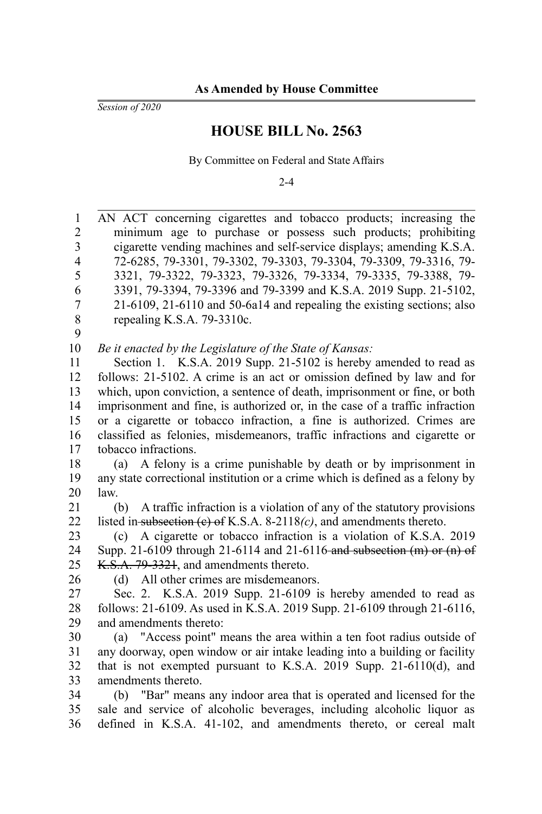*Session of 2020*

## **HOUSE BILL No. 2563**

By Committee on Federal and State Affairs

 $2 - 4$ 

AN ACT concerning cigarettes and tobacco products; increasing the minimum age to purchase or possess such products; prohibiting cigarette vending machines and self-service displays; amending K.S.A. 72-6285, 79-3301, 79-3302, 79-3303, 79-3304, 79-3309, 79-3316, 79- 3321, 79-3322, 79-3323, 79-3326, 79-3334, 79-3335, 79-3388, 79- 3391, 79-3394, 79-3396 and 79-3399 and K.S.A. 2019 Supp. 21-5102, 21-6109, 21-6110 and 50-6a14 and repealing the existing sections; also repealing K.S.A. 79-3310c. *Be it enacted by the Legislature of the State of Kansas:* Section 1. K.S.A. 2019 Supp. 21-5102 is hereby amended to read as follows: 21-5102. A crime is an act or omission defined by law and for which, upon conviction, a sentence of death, imprisonment or fine, or both imprisonment and fine, is authorized or, in the case of a traffic infraction or a cigarette or tobacco infraction, a fine is authorized. Crimes are classified as felonies, misdemeanors, traffic infractions and cigarette or tobacco infractions. (a) A felony is a crime punishable by death or by imprisonment in any state correctional institution or a crime which is defined as a felony by law. (b) A traffic infraction is a violation of any of the statutory provisions listed in subsection (c) of K.S.A. 8-2118*(c)*, and amendments thereto. (c) A cigarette or tobacco infraction is a violation of K.S.A. 2019 Supp. 21-6109 through 21-6114 and 21-6116 and subsection (m) or (n) of K.S.A. 79-3321, and amendments thereto. (d) All other crimes are misdemeanors. Sec. 2. K.S.A. 2019 Supp. 21-6109 is hereby amended to read as follows: 21-6109. As used in K.S.A. 2019 Supp. 21-6109 through 21-6116, and amendments thereto: (a) "Access point" means the area within a ten foot radius outside of any doorway, open window or air intake leading into a building or facility that is not exempted pursuant to K.S.A. 2019 Supp. 21-6110(d), and amendments thereto. (b) "Bar" means any indoor area that is operated and licensed for the sale and service of alcoholic beverages, including alcoholic liquor as defined in K.S.A. 41-102, and amendments thereto, or cereal malt 1 2 3 4 5 6 7 8 9 10 11 12 13 14 15 16 17 18 19 20 21 22 23 24 25 26 27 28 29 30 31 32 33 34 35 36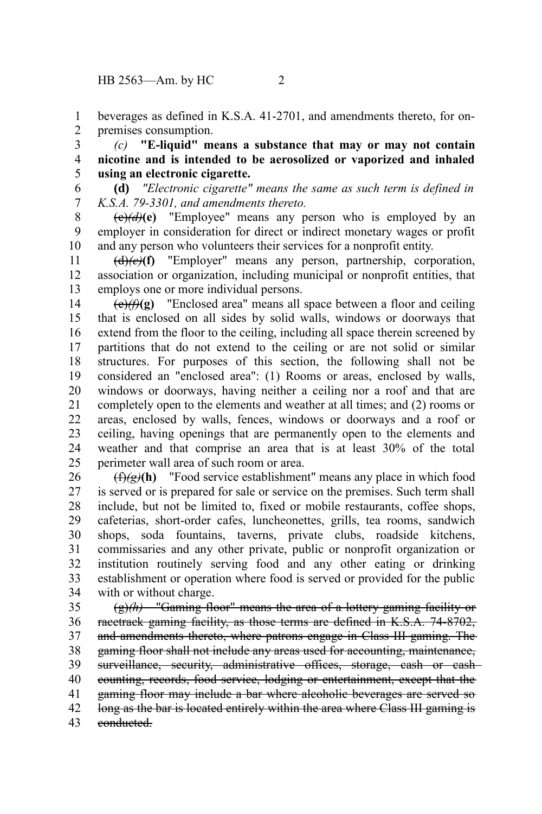beverages as defined in K.S.A. 41-2701, and amendments thereto, for onpremises consumption. 1 2

*(c)* **"E-liquid" means a substance that may or may not contain nicotine and is intended to be aerosolized or vaporized and inhaled using an electronic cigarette.** 3 4 5

**(d)** *"Electronic cigarette" means the same as such term is defined in K.S.A. 79-3301, and amendments thereto.* 6 7

 $(\epsilon)$ ( $d$ ) $(\epsilon)$  "Employee" means any person who is employed by an employer in consideration for direct or indirect monetary wages or profit and any person who volunteers their services for a nonprofit entity. 8 9 10

(d)*(e)***(f)** "Employer" means any person, partnership, corporation, association or organization, including municipal or nonprofit entities, that employs one or more individual persons. 11 12 13

(e)*(f)***(g)** "Enclosed area" means all space between a floor and ceiling that is enclosed on all sides by solid walls, windows or doorways that extend from the floor to the ceiling, including all space therein screened by partitions that do not extend to the ceiling or are not solid or similar structures. For purposes of this section, the following shall not be considered an "enclosed area": (1) Rooms or areas, enclosed by walls, windows or doorways, having neither a ceiling nor a roof and that are completely open to the elements and weather at all times; and (2) rooms or areas, enclosed by walls, fences, windows or doorways and a roof or ceiling, having openings that are permanently open to the elements and weather and that comprise an area that is at least 30% of the total perimeter wall area of such room or area. 14 15 16 17 18 19 20 21 22 23 24 25

(f)*(g)***(h)** "Food service establishment" means any place in which food is served or is prepared for sale or service on the premises. Such term shall include, but not be limited to, fixed or mobile restaurants, coffee shops, cafeterias, short-order cafes, luncheonettes, grills, tea rooms, sandwich shops, soda fountains, taverns, private clubs, roadside kitchens, commissaries and any other private, public or nonprofit organization or institution routinely serving food and any other eating or drinking establishment or operation where food is served or provided for the public with or without charge. 26 27 28 29 30 31 32 33 34

(g)*(h)* "Gaming floor" means the area of a lottery gaming facility or racetrack gaming facility, as those terms are defined in K.S.A. 74-8702, and amendments thereto, where patrons engage in Class III gaming. The gaming floor shall not include any areas used for accounting, maintenance, surveillance, security, administrative offices, storage, cash or cashcounting, records, food service, lodging or entertainment, except that the gaming floor may include a bar where alcoholic beverages are served so long as the bar is located entirely within the area where Class III gaming is conducted. 35 36 37 38 39 40 41 42 43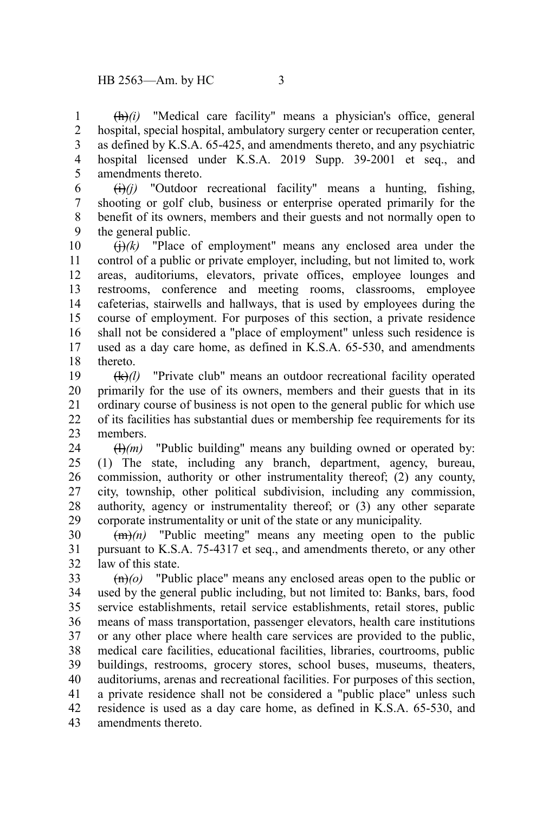(h)*(i)* "Medical care facility" means a physician's office, general hospital, special hospital, ambulatory surgery center or recuperation center, as defined by K.S.A. 65-425, and amendments thereto, and any psychiatric hospital licensed under K.S.A. 2019 Supp. 39-2001 et seq., and amendments thereto. 1 2 3 4 5

 $\overrightarrow{(ii)}$  "Outdoor recreational facility" means a hunting, fishing, shooting or golf club, business or enterprise operated primarily for the benefit of its owners, members and their guests and not normally open to the general public. 6 7 8 9

 $\left(\frac{1}{i}\right)$  /(k) "Place of employment" means any enclosed area under the control of a public or private employer, including, but not limited to, work areas, auditoriums, elevators, private offices, employee lounges and restrooms, conference and meeting rooms, classrooms, employee cafeterias, stairwells and hallways, that is used by employees during the course of employment. For purposes of this section, a private residence shall not be considered a "place of employment" unless such residence is used as a day care home, as defined in K.S.A. 65-530, and amendments thereto. 10 11 12 13 14 15 16 17 18

(k)*(l)* "Private club" means an outdoor recreational facility operated primarily for the use of its owners, members and their guests that in its ordinary course of business is not open to the general public for which use of its facilities has substantial dues or membership fee requirements for its members. 19 20 21 22 23

 $(H)(m)$  "Public building" means any building owned or operated by: (1) The state, including any branch, department, agency, bureau, commission, authority or other instrumentality thereof; (2) any county, city, township, other political subdivision, including any commission, authority, agency or instrumentality thereof; or (3) any other separate corporate instrumentality or unit of the state or any municipality. 24 25 26 27 28 29

 $(m)$  "Public meeting" means any meeting open to the public pursuant to K.S.A. 75-4317 et seq., and amendments thereto, or any other law of this state. 30 31 32

(n)*(o)* "Public place" means any enclosed areas open to the public or used by the general public including, but not limited to: Banks, bars, food service establishments, retail service establishments, retail stores, public means of mass transportation, passenger elevators, health care institutions or any other place where health care services are provided to the public, medical care facilities, educational facilities, libraries, courtrooms, public buildings, restrooms, grocery stores, school buses, museums, theaters, auditoriums, arenas and recreational facilities. For purposes of this section, a private residence shall not be considered a "public place" unless such residence is used as a day care home, as defined in K.S.A. 65-530, and amendments thereto. 33 34 35 36 37 38 39 40 41 42 43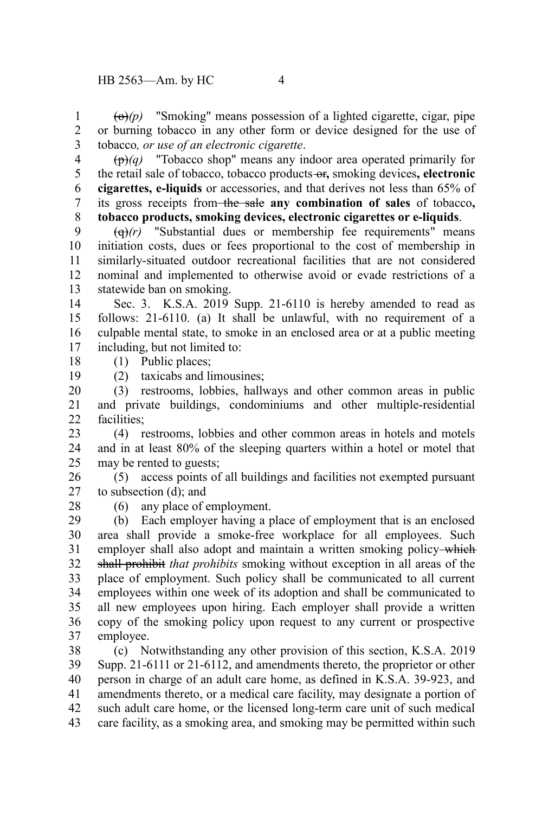$\left(\theta\right)(p)$  "Smoking" means possession of a lighted cigarette, cigar, pipe or burning tobacco in any other form or device designed for the use of tobacco*, or use of an electronic cigarette*. 1 2 3

(p)*(q)* "Tobacco shop" means any indoor area operated primarily for the retail sale of tobacco, tobacco products or**,** smoking devices**, electronic cigarettes, e-liquids** or accessories, and that derives not less than 65% of its gross receipts from the sale **any combination of sales** of tobacco**, tobacco products, smoking devices, electronic cigarettes or e-liquids**. 4 5 6 7 8

 $\left(\frac{q}{r}\right)^{r}$  "Substantial dues or membership fee requirements" means initiation costs, dues or fees proportional to the cost of membership in similarly-situated outdoor recreational facilities that are not considered nominal and implemented to otherwise avoid or evade restrictions of a statewide ban on smoking. 9 10 11 12 13

Sec. 3. K.S.A. 2019 Supp. 21-6110 is hereby amended to read as follows: 21-6110. (a) It shall be unlawful, with no requirement of a culpable mental state, to smoke in an enclosed area or at a public meeting including, but not limited to: 14 15 16 17

- (1) Public places; 18
	- (2) taxicabs and limousines;

(3) restrooms, lobbies, hallways and other common areas in public and private buildings, condominiums and other multiple-residential facilities; 20 21 22

(4) restrooms, lobbies and other common areas in hotels and motels and in at least 80% of the sleeping quarters within a hotel or motel that may be rented to guests; 23 24 25

(5) access points of all buildings and facilities not exempted pursuant to subsection (d); and 26 27

28

19

(6) any place of employment.

(b) Each employer having a place of employment that is an enclosed area shall provide a smoke-free workplace for all employees. Such employer shall also adopt and maintain a written smoking policy-which shall prohibit *that prohibits* smoking without exception in all areas of the place of employment. Such policy shall be communicated to all current employees within one week of its adoption and shall be communicated to all new employees upon hiring. Each employer shall provide a written copy of the smoking policy upon request to any current or prospective employee. 29 30 31 32 33 34 35 36 37

(c) Notwithstanding any other provision of this section, K.S.A. 2019 Supp. 21-6111 or 21-6112, and amendments thereto, the proprietor or other person in charge of an adult care home, as defined in K.S.A. 39-923, and amendments thereto, or a medical care facility, may designate a portion of such adult care home, or the licensed long-term care unit of such medical care facility, as a smoking area, and smoking may be permitted within such 38 39 40 41 42 43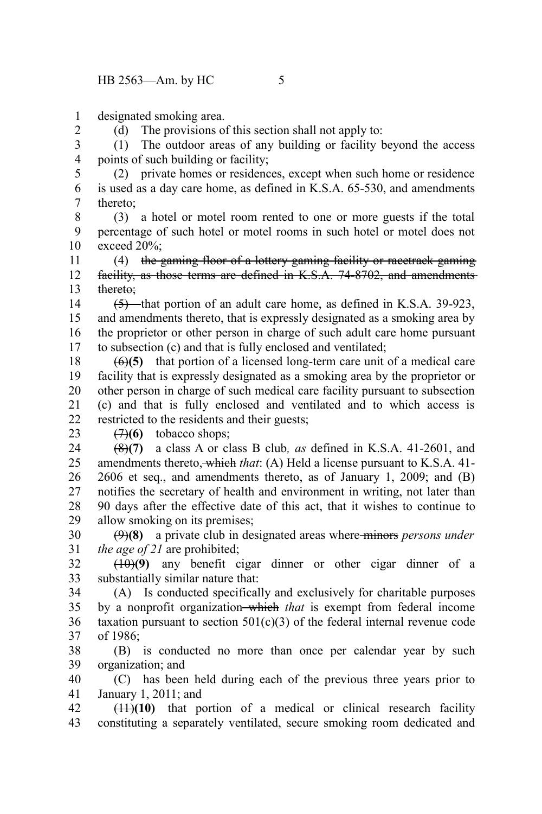designated smoking area. 1

2

(d) The provisions of this section shall not apply to:

(1) The outdoor areas of any building or facility beyond the access points of such building or facility; 3 4

(2) private homes or residences, except when such home or residence is used as a day care home, as defined in K.S.A. 65-530, and amendments thereto; 5 6 7

(3) a hotel or motel room rented to one or more guests if the total percentage of such hotel or motel rooms in such hotel or motel does not exceed 20%; 8 9 10

(4) the gaming floor of a lottery gaming facility or racetrack gaming facility, as those terms are defined in K.S.A. 74-8702, and amendments thereto; 11 12 13

 $(5)$ —that portion of an adult care home, as defined in K.S.A. 39-923, and amendments thereto, that is expressly designated as a smoking area by the proprietor or other person in charge of such adult care home pursuant to subsection (c) and that is fully enclosed and ventilated; 14 15 16 17

(6)**(5)** that portion of a licensed long-term care unit of a medical care facility that is expressly designated as a smoking area by the proprietor or other person in charge of such medical care facility pursuant to subsection (c) and that is fully enclosed and ventilated and to which access is restricted to the residents and their guests; 18 19 20 21 22

 $(7)(6)$  tobacco shops; 23

(8)**(7)** a class A or class B club*, as* defined in K.S.A. 41-2601, and amendments thereto, which *that*: (A) Held a license pursuant to K.S.A. 41- 2606 et seq., and amendments thereto, as of January 1, 2009; and (B) notifies the secretary of health and environment in writing, not later than 90 days after the effective date of this act, that it wishes to continue to allow smoking on its premises; 24 25 26 27 28 29

(9)**(8)** a private club in designated areas where minors *persons under the age of 21* are prohibited; 30 31

(10)**(9)** any benefit cigar dinner or other cigar dinner of a substantially similar nature that: 32 33

(A) Is conducted specifically and exclusively for charitable purposes by a nonprofit organization which *that* is exempt from federal income taxation pursuant to section  $501(c)(3)$  of the federal internal revenue code of 1986; 34 35 36 37

(B) is conducted no more than once per calendar year by such organization; and 38 39

(C) has been held during each of the previous three years prior to January 1, 2011; and 40 41

(11)**(10)** that portion of a medical or clinical research facility constituting a separately ventilated, secure smoking room dedicated and 42 43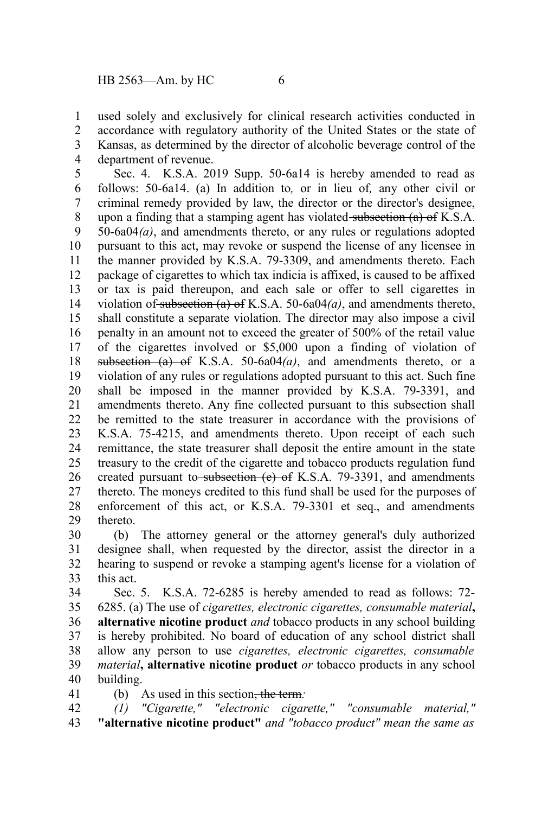used solely and exclusively for clinical research activities conducted in accordance with regulatory authority of the United States or the state of Kansas, as determined by the director of alcoholic beverage control of the department of revenue. 1 2 3 4

Sec. 4. K.S.A. 2019 Supp. 50-6a14 is hereby amended to read as follows: 50-6a14. (a) In addition to*,* or in lieu of*,* any other civil or criminal remedy provided by law, the director or the director's designee, upon a finding that a stamping agent has violated subsection  $(a)$  of K.S.A. 50-6a04*(a)*, and amendments thereto, or any rules or regulations adopted pursuant to this act, may revoke or suspend the license of any licensee in the manner provided by K.S.A. 79-3309, and amendments thereto. Each package of cigarettes to which tax indicia is affixed, is caused to be affixed or tax is paid thereupon, and each sale or offer to sell cigarettes in violation of subsection (a) of K.S.A. 50-6a04*(a)*, and amendments thereto, shall constitute a separate violation. The director may also impose a civil penalty in an amount not to exceed the greater of 500% of the retail value of the cigarettes involved or \$5,000 upon a finding of violation of subsection (a) of K.S.A. 50-6a04*(a)*, and amendments thereto, or a violation of any rules or regulations adopted pursuant to this act. Such fine shall be imposed in the manner provided by K.S.A. 79-3391, and amendments thereto. Any fine collected pursuant to this subsection shall be remitted to the state treasurer in accordance with the provisions of K.S.A. 75-4215, and amendments thereto. Upon receipt of each such remittance, the state treasurer shall deposit the entire amount in the state treasury to the credit of the cigarette and tobacco products regulation fund created pursuant to subsection  $(e)$  of K.S.A. 79-3391, and amendments thereto. The moneys credited to this fund shall be used for the purposes of enforcement of this act, or K.S.A. 79-3301 et seq., and amendments thereto. 5 6 7 8 9 10 11 12 13 14 15 16 17 18 19 20 21 22 23 24 25 26 27 28 29

(b) The attorney general or the attorney general's duly authorized designee shall, when requested by the director, assist the director in a hearing to suspend or revoke a stamping agent's license for a violation of this act. 30 31 32 33

Sec. 5. K.S.A. 72-6285 is hereby amended to read as follows: 72- 6285. (a) The use of *cigarettes, electronic cigarettes, consumable material***, alternative nicotine product** *and* tobacco products in any school building is hereby prohibited. No board of education of any school district shall allow any person to use *cigarettes, electronic cigarettes, consumable material***, alternative nicotine product** *or* tobacco products in any school building. 34 35 36 37 38 39 40

41

(b) As used in this section, the term*: (1) "Cigarette," "electronic cigarette," "consumable material,"*

**"alternative nicotine product"** *and "tobacco product" mean the same as* 42 43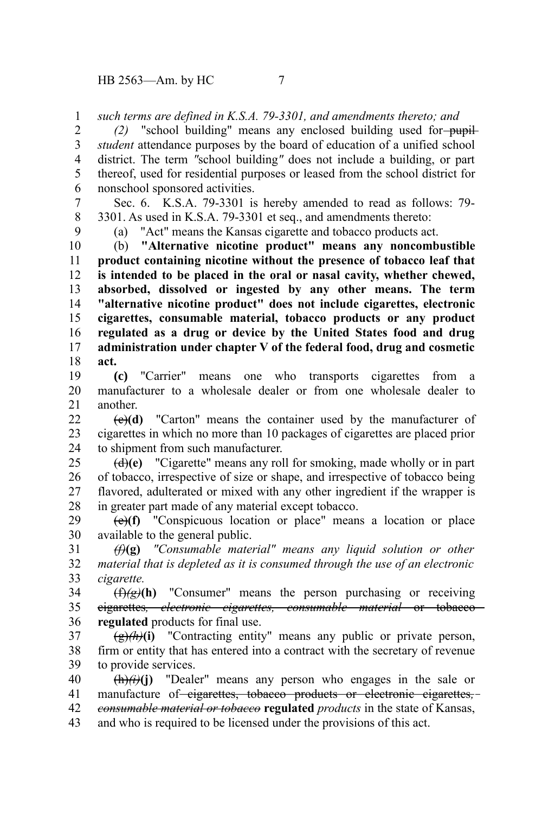*such terms are defined in K.S.A. 79-3301, and amendments thereto; and* 1

*(2)* "school building" means any enclosed building used for-pupil*student* attendance purposes by the board of education of a unified school district. The term *"*school building*"* does not include a building, or part thereof, used for residential purposes or leased from the school district for nonschool sponsored activities. 2 3 4 5 6

Sec. 6. K.S.A. 79-3301 is hereby amended to read as follows: 79- 3301. As used in K.S.A. 79-3301 et seq., and amendments thereto: 7 8

9

(a) "Act" means the Kansas cigarette and tobacco products act.

(b) **"Alternative nicotine product" means any noncombustible product containing nicotine without the presence of tobacco leaf that is intended to be placed in the oral or nasal cavity, whether chewed, absorbed, dissolved or ingested by any other means. The term "alternative nicotine product" does not include cigarettes, electronic cigarettes, consumable material, tobacco products or any product regulated as a drug or device by the United States food and drug administration under chapter V of the federal food, drug and cosmetic act.** 10 11 12 13 14 15 16 17 18

**(c)** "Carrier" means one who transports cigarettes from a manufacturer to a wholesale dealer or from one wholesale dealer to another. 19 20 21

(c)**(d)** "Carton" means the container used by the manufacturer of cigarettes in which no more than 10 packages of cigarettes are placed prior to shipment from such manufacturer.  $22$ 23 24

(d)**(e)** "Cigarette" means any roll for smoking, made wholly or in part of tobacco, irrespective of size or shape, and irrespective of tobacco being flavored, adulterated or mixed with any other ingredient if the wrapper is in greater part made of any material except tobacco. 25 26 27 28

(e)**(f)** "Conspicuous location or place" means a location or place available to the general public. 29 30

*(f)***(g)** *"Consumable material" means any liquid solution or other material that is depleted as it is consumed through the use of an electronic cigarette.* 31 32 33

 $(f)(g)(h)$  "Consumer" means the person purchasing or receiving cigarettes*, electronic cigarettes, consumable material* or tobacco **regulated** products for final use. 34 35 36

 $\frac{(\mathbf{g})}{h}$ (i) "Contracting entity" means any public or private person, firm or entity that has entered into a contract with the secretary of revenue to provide services. 37 38 39

 $\frac{(\mathbf{h})}{(\mathbf{i})}$  "Dealer" means any person who engages in the sale or manufacture of eigarettes, tobacco products or electronic cigarettes,*consumable material or tobacco* **regulated** *products* in the state of Kansas, and who is required to be licensed under the provisions of this act. 40 41 42 43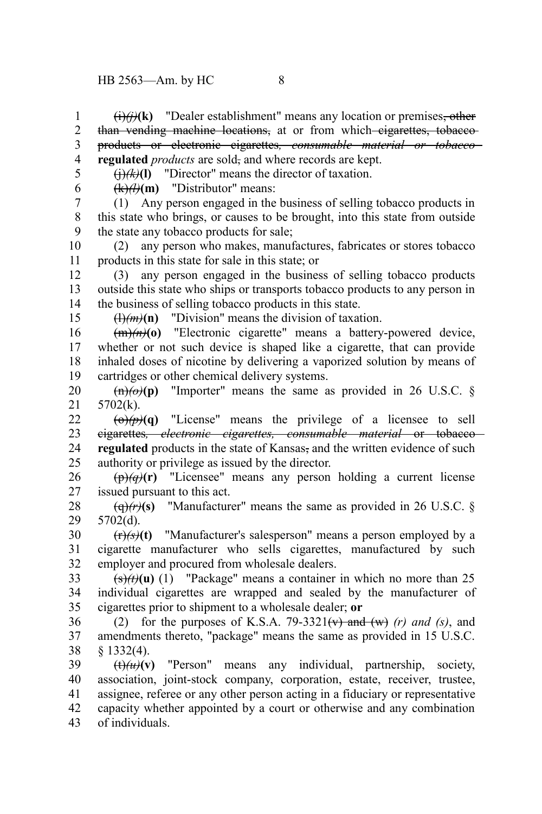(i)*(j)***(k)** "Dealer establishment" means any location or premises, other than vending machine locations, at or from which eigarettes, tobaccoproducts or electronic cigarettes*, consumable material or tobacco* **regulated** *products* are sold, and where records are kept. 1 2 3 4

5 6

15

 $\left(\frac{1}{k}\right)$  (**k**)**(l**) "Director" means the director of taxation.

 $(k)$  *(k)* $(k)$  **(m)** "Distributor" means:

(1) Any person engaged in the business of selling tobacco products in this state who brings, or causes to be brought, into this state from outside the state any tobacco products for sale; 7 8 9

(2) any person who makes, manufactures, fabricates or stores tobacco products in this state for sale in this state; or 10 11

(3) any person engaged in the business of selling tobacco products outside this state who ships or transports tobacco products to any person in the business of selling tobacco products in this state. 12 13 14

 $\left(\frac{1}{m}\right)$ (n) "Division" means the division of taxation.

(m)*(n)***(o)** "Electronic cigarette" means a battery-powered device, whether or not such device is shaped like a cigarette, that can provide inhaled doses of nicotine by delivering a vaporized solution by means of cartridges or other chemical delivery systems. 16 17 18 19

 $\frac{\text{ln}}{\text{ln}}(\theta)$  "Importer" means the same as provided in 26 U.S.C. § 5702(k). 20 21

 $\left(\frac{\theta}{\theta}\right)$   $\left(\theta\right)$   $\left(\theta\right)$   $\left(\theta\right)$   $\left(\theta\right)$   $\left(\theta\right)$   $\left(\theta\right)$   $\left(\theta\right)$   $\left(\theta\right)$   $\left(\theta\right)$   $\left(\theta\right)$   $\left(\theta\right)$   $\left(\theta\right)$   $\left(\theta\right)$   $\left(\theta\right)$   $\left(\theta\right)$   $\left(\theta\right)$   $\left(\theta\right)$   $\left(\theta\right)$   $\left(\theta\right)$   $\left(\theta\right)$   $\left(\theta\$ cigarettes*, electronic cigarettes, consumable material* or tobacco **regulated** products in the state of Kansas, and the written evidence of such authority or privilege as issued by the director.  $22$ 23 24 25

 $(\mathbf{p})\hat{q}$ **(r)** "Licensee" means any person holding a current license issued pursuant to this act. 26 27

 $\left(\frac{\theta}{r}\right)$  (s) "Manufacturer" means the same as provided in 26 U.S.C. § 5702(d). 28 29

(r)*(s)***(t)** "Manufacturer's salesperson" means a person employed by a cigarette manufacturer who sells cigarettes, manufactured by such employer and procured from wholesale dealers. 30 31 32

 $\frac{f(s)}{f(t)}(u)$  (1) "Package" means a container in which no more than 25 individual cigarettes are wrapped and sealed by the manufacturer of cigarettes prior to shipment to a wholesale dealer; **or** 33 34 35

(2) for the purposes of K.S.A. 79-3321(v) and (w)  $(r)$  and  $(s)$ , and amendments thereto, "package" means the same as provided in 15 U.S.C. § 1332(4). 36 37 38

 $(\theta)$ (*u*)(*v*) "Person" means any individual, partnership, society, association, joint-stock company, corporation, estate, receiver, trustee, assignee, referee or any other person acting in a fiduciary or representative capacity whether appointed by a court or otherwise and any combination of individuals. 39 40 41 42 43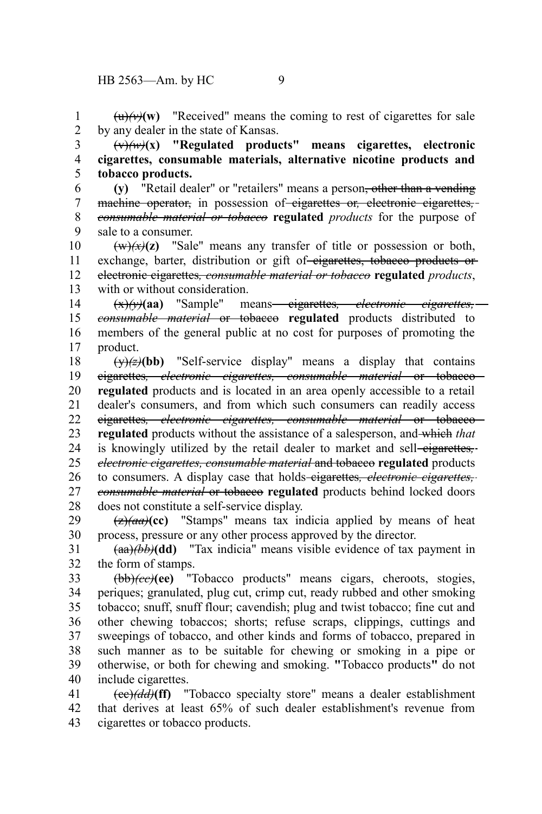$(u)$ (w) These ive d' means the coming to rest of cigarettes for sale by any dealer in the state of Kansas. 1 2

(v)*(w)***(x) "Regulated products" means cigarettes, electronic cigarettes, consumable materials, alternative nicotine products and tobacco products.** 3 4 5

**(y)** "Retail dealer" or "retailers" means a person, other than a vending machine operator, in possession of cigarettes or*,* electronic cigarettes*, consumable material or tobacco* **regulated** *products* for the purpose of sale to a consumer. 6 7 8 9

 $(w)(x)(z)$  "Sale" means any transfer of title or possession or both, exchange, barter, distribution or gift of eigarettes, tobacco products or electronic cigarettes*, consumable material or tobacco* **regulated** *products*, with or without consideration. 10 11 12 13

(x)*(y)***(aa)** "Sample" means cigarettes*, electronic cigarettes, consumable material* or tobacco **regulated** products distributed to members of the general public at no cost for purposes of promoting the product. 14 15 16 17

 $(y)(\overline{z})(bb)$  "Self-service display" means a display that contains cigarettes*, electronic cigarettes, consumable material* or tobacco **regulated** products and is located in an area openly accessible to a retail dealer's consumers, and from which such consumers can readily access cigarettes*, electronic cigarettes, consumable material* or tobacco **regulated** products without the assistance of a salesperson, and which *that* is knowingly utilized by the retail dealer to market and sell-eigarettes,*electronic cigarettes, consumable material* and tobacco **regulated** products to consumers. A display case that holds-eigarettes, *electronic cigarettes*, *consumable material* or tobacco **regulated** products behind locked doors does not constitute a self-service display. 18 19 20 21 22 23 24 25 26 27 28

 $\frac{1}{2}(a\theta)(c\theta)$  "Stamps" means tax indicia applied by means of heat 29

process, pressure or any other process approved by the director. (aa)*(bb)***(dd)** "Tax indicia" means visible evidence of tax payment in the form of stamps. 30 31 32

(bb)*(cc)***(ee)** "Tobacco products" means cigars, cheroots, stogies, periques; granulated, plug cut, crimp cut, ready rubbed and other smoking tobacco; snuff, snuff flour; cavendish; plug and twist tobacco; fine cut and other chewing tobaccos; shorts; refuse scraps, clippings, cuttings and sweepings of tobacco, and other kinds and forms of tobacco, prepared in such manner as to be suitable for chewing or smoking in a pipe or otherwise, or both for chewing and smoking. **"**Tobacco products**"** do not include cigarettes. 33 34 35 36 37 38 39 40

(cc)*(dd)***(ff)** "Tobacco specialty store" means a dealer establishment that derives at least 65% of such dealer establishment's revenue from cigarettes or tobacco products. 41 42 43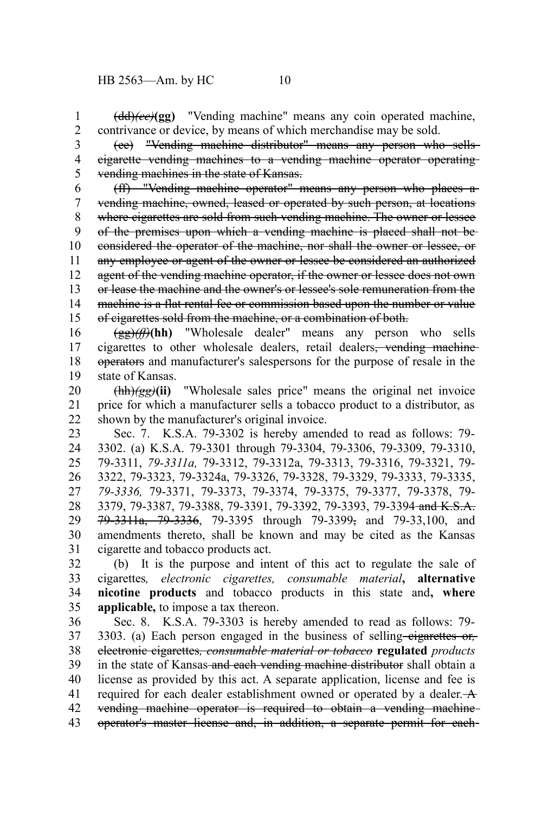(dd)*(ee)***(gg)** "Vending machine" means any coin operated machine, contrivance or device, by means of which merchandise may be sold. 1 2

(ee) "Vending machine distributor" means any person who sells cigarette vending machines to a vending machine operator operating vending machines in the state of Kansas. 3 4 5

(ff) "Vending machine operator" means any person who places a vending machine, owned, leased or operated by such person, at locations where eigarettes are sold from such vending machine. The owner or lessee of the premises upon which a vending machine is placed shall not be considered the operator of the machine, nor shall the owner or lessee, or any employee or agent of the owner or lessee be considered an authorized agent of the vending machine operator, if the owner or lessee does not own or lease the machine and the owner's or lessee's sole remuneration from the machine is a flat rental fee or commission based upon the number or value of cigarettes sold from the machine, or a combination of both. 6 7 8 9 10 11 12 13 14 15

(gg)*(ff)***(hh)** "Wholesale dealer" means any person who sells cigarettes to other wholesale dealers, retail dealers, vending machine operators and manufacturer's salespersons for the purpose of resale in the state of Kansas. 16 17 18 19

(hh)*(gg)***(ii)** "Wholesale sales price" means the original net invoice price for which a manufacturer sells a tobacco product to a distributor, as shown by the manufacturer's original invoice. 20 21 22

Sec. 7. K.S.A. 79-3302 is hereby amended to read as follows: 79- 3302. (a) K.S.A. 79-3301 through 79-3304, 79-3306, 79-3309, 79-3310, 79-3311, *79-3311a,* 79-3312, 79-3312a, 79-3313, 79-3316, 79-3321, 79- 3322, 79-3323, 79-3324a, 79-3326, 79-3328, 79-3329, 79-3333, 79-3335, *79-3336,* 79-3371, 79-3373, 79-3374, 79-3375, 79-3377, 79-3378, 79- 3379, 79-3387, 79-3388, 79-3391, 79-3392, 79-3393, 79-3394-and K.S.A. 79-3311a, 79-3336, 79-3395 through 79-3399, and 79-33,100, and amendments thereto, shall be known and may be cited as the Kansas cigarette and tobacco products act. 23 24 25 26 27 28 29 30 31

(b) It is the purpose and intent of this act to regulate the sale of cigarettes*, electronic cigarettes, consumable material***, alternative nicotine products** and tobacco products in this state and**, where applicable,** to impose a tax thereon. 32 33 34 35

Sec. 8. K.S.A. 79-3303 is hereby amended to read as follows: 79- 3303. (a) Each person engaged in the business of selling-eigarettes or, electronic cigarettes*, consumable material or tobacco* **regulated** *products* in the state of Kansas and each vending machine distributor shall obtain a license as provided by this act. A separate application, license and fee is required for each dealer establishment owned or operated by a dealer. A vending machine operator is required to obtain a vending machine operator's master license and, in addition, a separate permit for each 36 37 38 39 40 41 42 43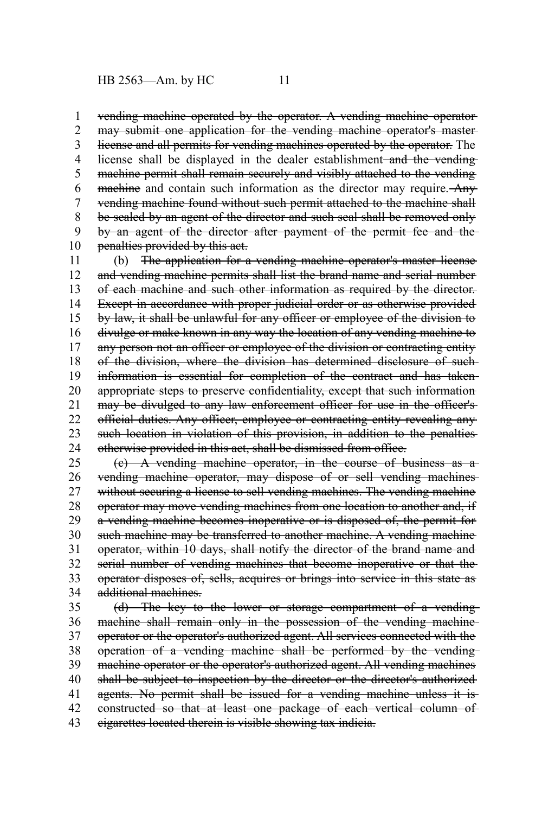vending machine operated by the operator. A vending machine operator may submit one application for the vending machine operator's master license and all permits for vending machines operated by the operator. The license shall be displayed in the dealer establishment-and the vendingmachine permit shall remain securely and visibly attached to the vending machine and contain such information as the director may require. Any vending machine found without such permit attached to the machine shall be sealed by an agent of the director and such seal shall be removed only by an agent of the director after payment of the permit fee and the penalties provided by this act. 1 2 3 4 5 6 7 8 9 10

(b) The application for a vending machine operator's master license and vending machine permits shall list the brand name and serial number of each machine and such other information as required by the director. Except in accordance with proper judicial order or as otherwise provided by law, it shall be unlawful for any officer or employee of the division to divulge or make known in any way the location of any vending machine to any person not an officer or employee of the division or contracting entity of the division, where the division has determined disclosure of such information is essential for completion of the contract and has taken appropriate steps to preserve confidentiality, except that such information may be divulged to any law enforcement officer for use in the officer's official duties. Any officer, employee or contracting entity revealing any such location in violation of this provision, in addition to the penalties otherwise provided in this act, shall be dismissed from office. 11 12 13 14 15 16 17 18 19 20 21 22 23 24

(c) A vending machine operator, in the course of business as a vending machine operator, may dispose of or sell vending machines without securing a license to sell vending machines. The vending machine operator may move vending machines from one location to another and, if a vending machine becomes inoperative or is disposed of, the permit for such machine may be transferred to another machine. A vending machine operator, within 10 days, shall notify the director of the brand name and serial number of vending machines that become inoperative or that the operator disposes of, sells, acquires or brings into service in this state as additional machines. 25 26 27 28 29 30 31 32 33 34

(d) The key to the lower or storage compartment of a vending machine shall remain only in the possession of the vending machineoperator or the operator's authorized agent. All services connected with the operation of a vending machine shall be performed by the vending machine operator or the operator's authorized agent. All vending machines shall be subject to inspection by the director or the director's authorized agents. No permit shall be issued for a vending machine unless it is constructed so that at least one package of each vertical column of cigarettes located therein is visible showing tax indicia. 35 36 37 38 39 40 41 42 43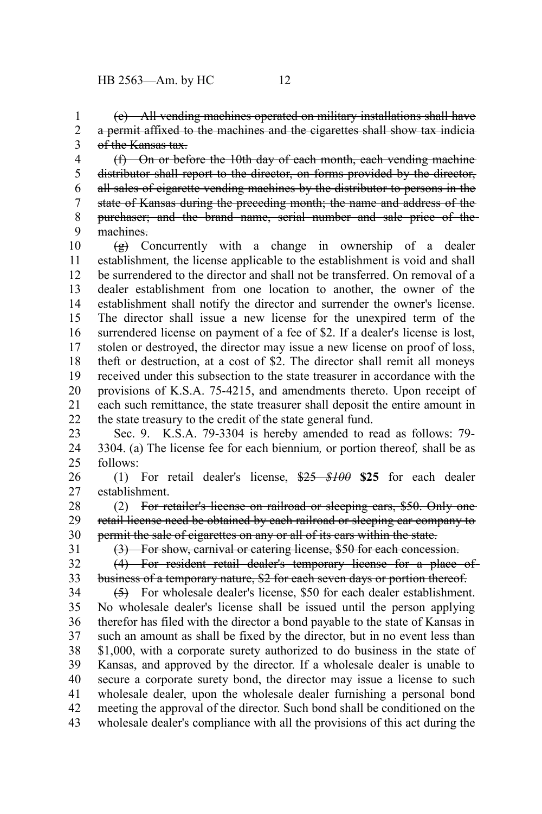(e) All vending machines operated on military installations shall have a permit affixed to the machines and the cigarettes shall show tax indicia of the Kansas tax. 1 2 3

(f) On or before the 10th day of each month, each vending machine distributor shall report to the director, on forms provided by the director, all sales of cigarette vending machines by the distributor to persons in the state of Kansas during the preceding month; the name and address of the purchaser; and the brand name, serial number and sale price of the machines. 4 5 6 7 8 9

 $\left(\frac{g}{g}\right)$  Concurrently with a change in ownership of a dealer establishment*,* the license applicable to the establishment is void and shall be surrendered to the director and shall not be transferred. On removal of a dealer establishment from one location to another, the owner of the establishment shall notify the director and surrender the owner's license. The director shall issue a new license for the unexpired term of the surrendered license on payment of a fee of \$2. If a dealer's license is lost, stolen or destroyed, the director may issue a new license on proof of loss, theft or destruction, at a cost of \$2. The director shall remit all moneys received under this subsection to the state treasurer in accordance with the provisions of K.S.A. 75-4215, and amendments thereto. Upon receipt of each such remittance, the state treasurer shall deposit the entire amount in the state treasury to the credit of the state general fund. 10 11 12 13 14 15 16 17 18 19 20 21 22

Sec. 9. K.S.A. 79-3304 is hereby amended to read as follows: 79- 3304. (a) The license fee for each biennium*,* or portion thereof*,* shall be as follows: 23 24 25

(1) For retail dealer's license, \$25 *\$100* **\$25** for each dealer establishment. 26 27

(2) For retailer's license on railroad or sleeping cars, \$50. Only one retail license need be obtained by each railroad or sleeping car company to permit the sale of cigarettes on any or all of its cars within the state. 28 29 30

31

(3) For show, carnival or catering license, \$50 for each concession.

(4) For resident retail dealer's temporary license for a place of business of a temporary nature, \$2 for each seven days or portion thereof. 32 33

(5) For wholesale dealer's license, \$50 for each dealer establishment. No wholesale dealer's license shall be issued until the person applying therefor has filed with the director a bond payable to the state of Kansas in such an amount as shall be fixed by the director, but in no event less than \$1,000, with a corporate surety authorized to do business in the state of Kansas, and approved by the director. If a wholesale dealer is unable to secure a corporate surety bond, the director may issue a license to such wholesale dealer, upon the wholesale dealer furnishing a personal bond meeting the approval of the director. Such bond shall be conditioned on the wholesale dealer's compliance with all the provisions of this act during the 34 35 36 37 38 39 40 41 42 43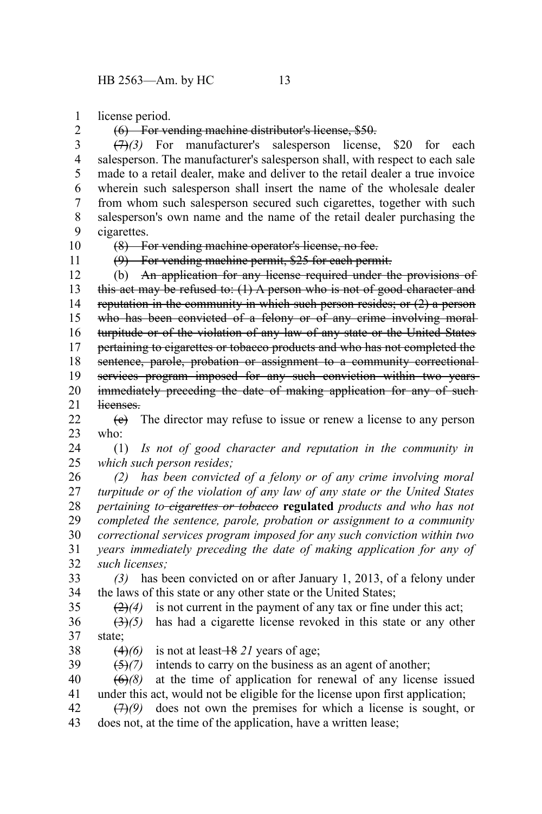license period. 1

(6) For vending machine distributor's license, \$50.

(7)*(3)* For manufacturer's salesperson license, \$20 for each salesperson. The manufacturer's salesperson shall, with respect to each sale made to a retail dealer, make and deliver to the retail dealer a true invoice wherein such salesperson shall insert the name of the wholesale dealer from whom such salesperson secured such cigarettes, together with such salesperson's own name and the name of the retail dealer purchasing the cigarettes. 3 4 5 6 7 8 9

10 11

35

2

(8) For vending machine operator's license, no fee.

(9) For vending machine permit, \$25 for each permit.

(b) An application for any license required under the provisions of this act may be refused to:  $(1)$  A person who is not of good character and reputation in the community in which such person resides; or (2) a person who has been convicted of a felony or of any crime involving moralturpitude or of the violation of any law of any state or the United States pertaining to cigarettes or tobacco products and who has not completed the sentence, parole, probation or assignment to a community correctionalservices program imposed for any such conviction within two years immediately preceding the date of making application for any of suchlicenses. 12 13 14 15 16 17 18 19 20 21

 $(e)$  The director may refuse to issue or renew a license to any person who:  $22$ 23

(1) *Is not of good character and reputation in the community in which such person resides;* 24 25

*(2) has been convicted of a felony or of any crime involving moral turpitude or of the violation of any law of any state or the United States pertaining to cigarettes or tobacco* **regulated** *products and who has not completed the sentence, parole, probation or assignment to a community correctional services program imposed for any such conviction within two years immediately preceding the date of making application for any of such licenses;* 26 27 28 29 30 31 32

*(3)* has been convicted on or after January 1, 2013, of a felony under the laws of this state or any other state or the United States; 33 34

 $\left(\frac{2}{2}\right)$  is not current in the payment of any tax or fine under this act;

(3)*(5)* has had a cigarette license revoked in this state or any other state; 36 37

 $(4)(6)$  is not at least  $\frac{18}{21}$  years of age; 38

(5)*(7)* intends to carry on the business as an agent of another; 39

 $(6)$ *(8)* at the time of application for renewal of any license issued under this act, would not be eligible for the license upon first application; 40 41

(7)*(9)* does not own the premises for which a license is sought, or does not, at the time of the application, have a written lease; 42 43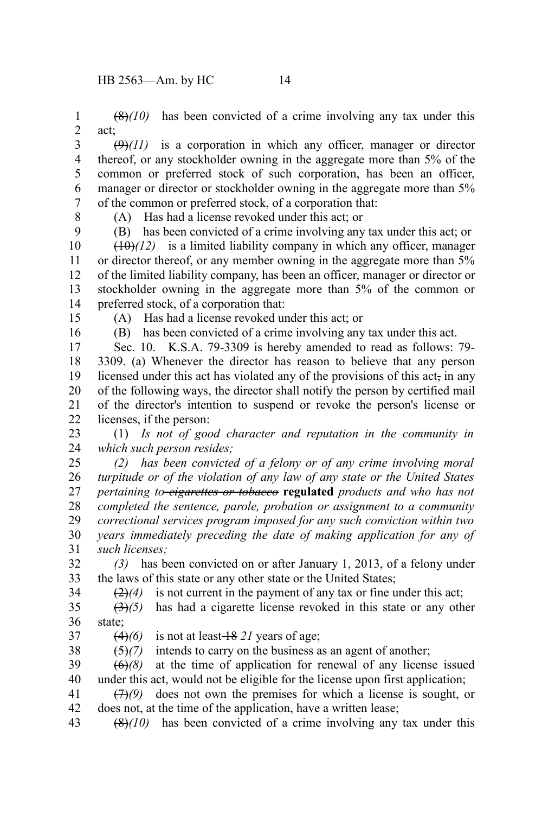(8)*(10)* has been convicted of a crime involving any tax under this act; 1 2

 $(\theta)$ (11) is a corporation in which any officer, manager or director thereof, or any stockholder owning in the aggregate more than 5% of the common or preferred stock of such corporation, has been an officer, manager or director or stockholder owning in the aggregate more than 5% of the common or preferred stock, of a corporation that: 3 4 5 6 7

8

(A) Has had a license revoked under this act; or

(B) has been convicted of a crime involving any tax under this act; or  $(10)(12)$  is a limited liability company in which any officer, manager or director thereof, or any member owning in the aggregate more than 5% of the limited liability company, has been an officer, manager or director or stockholder owning in the aggregate more than 5% of the common or preferred stock, of a corporation that: 9 10 11 12 13 14

15

(A) Has had a license revoked under this act; or

16

(B) has been convicted of a crime involving any tax under this act.

Sec. 10. K.S.A. 79-3309 is hereby amended to read as follows: 79- 3309. (a) Whenever the director has reason to believe that any person licensed under this act has violated any of the provisions of this act, in any of the following ways, the director shall notify the person by certified mail of the director's intention to suspend or revoke the person's license or licenses, if the person: 17 18 19 20 21 22

(1) *Is not of good character and reputation in the community in which such person resides;* 23 24

*(2) has been convicted of a felony or of any crime involving moral turpitude or of the violation of any law of any state or the United States pertaining to cigarettes or tobacco* **regulated** *products and who has not completed the sentence, parole, probation or assignment to a community correctional services program imposed for any such conviction within two years immediately preceding the date of making application for any of such licenses;* 25 26 27 28 29 30 31

*(3)* has been convicted on or after January 1, 2013, of a felony under the laws of this state or any other state or the United States; 32 33 34

 $\left(\frac{2}{4}\right)$  is not current in the payment of any tax or fine under this act;

(3)*(5)* has had a cigarette license revoked in this state or any other state; 35 36

37

 $(4)(6)$  is not at least  $\frac{18}{21}$  years of age;

(5)*(7)* intends to carry on the business as an agent of another; 38

 $\left(\frac{\Theta}{\Theta}\right)$  at the time of application for renewal of any license issued under this act, would not be eligible for the license upon first application; 39 40

(7)*(9)* does not own the premises for which a license is sought, or does not, at the time of the application, have a written lease; 41 42

(8)*(10)* has been convicted of a crime involving any tax under this 43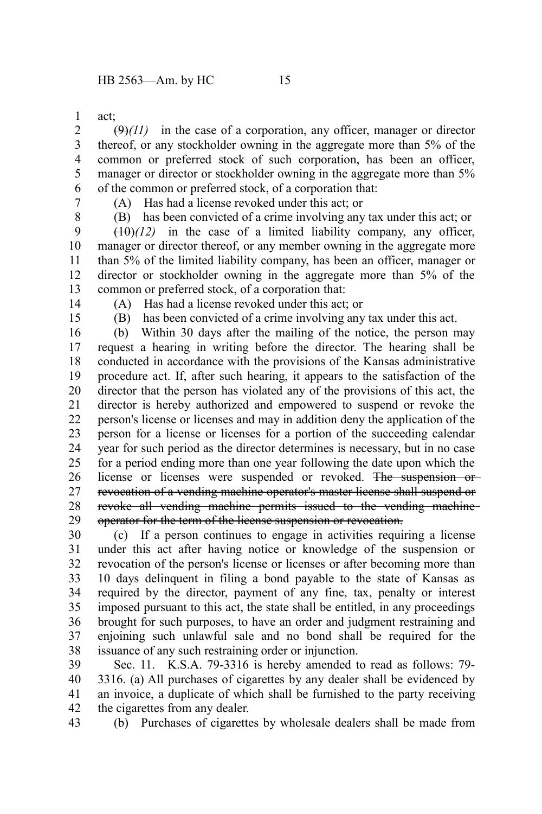act; 1

 $(\Theta)(11)$  in the case of a corporation, any officer, manager or director thereof, or any stockholder owning in the aggregate more than 5% of the common or preferred stock of such corporation, has been an officer, manager or director or stockholder owning in the aggregate more than 5% of the common or preferred stock, of a corporation that: 2 3 4 5 6

7 8 (A) Has had a license revoked under this act; or

(B) has been convicted of a crime involving any tax under this act; or

 $(10)(12)$  in the case of a limited liability company, any officer, manager or director thereof, or any member owning in the aggregate more than 5% of the limited liability company, has been an officer, manager or director or stockholder owning in the aggregate more than 5% of the common or preferred stock, of a corporation that: 9 10 11 12 13

14

(A) Has had a license revoked under this act; or

15

(B) has been convicted of a crime involving any tax under this act.

(b) Within 30 days after the mailing of the notice, the person may request a hearing in writing before the director. The hearing shall be conducted in accordance with the provisions of the Kansas administrative procedure act. If, after such hearing, it appears to the satisfaction of the director that the person has violated any of the provisions of this act, the director is hereby authorized and empowered to suspend or revoke the person's license or licenses and may in addition deny the application of the person for a license or licenses for a portion of the succeeding calendar year for such period as the director determines is necessary, but in no case for a period ending more than one year following the date upon which the license or licenses were suspended or revoked. The suspension or revocation of a vending machine operator's master license shall suspend or revoke all vending machine permits issued to the vending machine operator for the term of the license suspension or revocation. 16 17 18 19 20 21 22 23 24 25 26 27 28 29

(c) If a person continues to engage in activities requiring a license under this act after having notice or knowledge of the suspension or revocation of the person's license or licenses or after becoming more than 10 days delinquent in filing a bond payable to the state of Kansas as required by the director, payment of any fine, tax, penalty or interest imposed pursuant to this act, the state shall be entitled, in any proceedings brought for such purposes, to have an order and judgment restraining and enjoining such unlawful sale and no bond shall be required for the issuance of any such restraining order or injunction. 30 31 32 33 34 35 36 37 38

Sec. 11. K.S.A. 79-3316 is hereby amended to read as follows: 79- 3316. (a) All purchases of cigarettes by any dealer shall be evidenced by an invoice, a duplicate of which shall be furnished to the party receiving the cigarettes from any dealer. 39 40 41 42

(b) Purchases of cigarettes by wholesale dealers shall be made from 43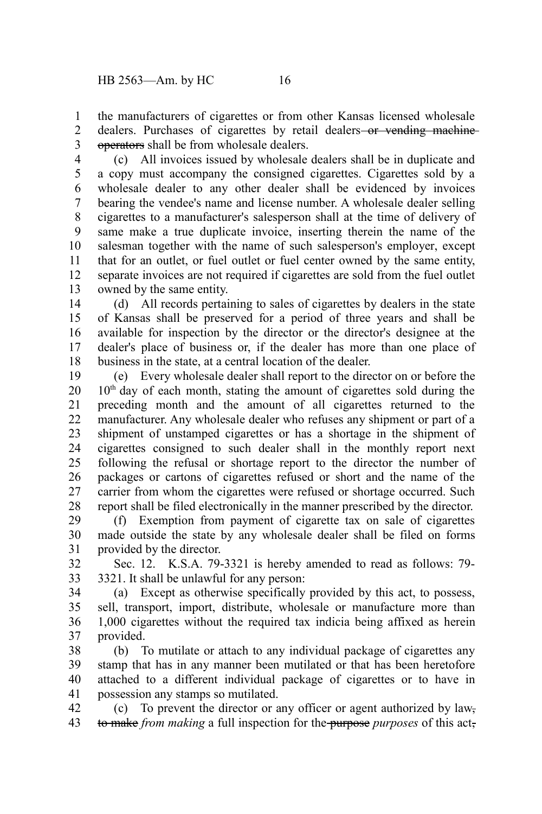the manufacturers of cigarettes or from other Kansas licensed wholesale dealers. Purchases of cigarettes by retail dealers-or vending machineoperators shall be from wholesale dealers. 1 2 3

(c) All invoices issued by wholesale dealers shall be in duplicate and a copy must accompany the consigned cigarettes. Cigarettes sold by a wholesale dealer to any other dealer shall be evidenced by invoices bearing the vendee's name and license number. A wholesale dealer selling cigarettes to a manufacturer's salesperson shall at the time of delivery of same make a true duplicate invoice, inserting therein the name of the salesman together with the name of such salesperson's employer, except that for an outlet, or fuel outlet or fuel center owned by the same entity, separate invoices are not required if cigarettes are sold from the fuel outlet owned by the same entity. 4 5 6 7 8 9 10 11 12 13

(d) All records pertaining to sales of cigarettes by dealers in the state of Kansas shall be preserved for a period of three years and shall be available for inspection by the director or the director's designee at the dealer's place of business or, if the dealer has more than one place of business in the state, at a central location of the dealer. 14 15 16 17 18

(e) Every wholesale dealer shall report to the director on or before the  $10<sup>th</sup>$  day of each month, stating the amount of cigarettes sold during the preceding month and the amount of all cigarettes returned to the manufacturer. Any wholesale dealer who refuses any shipment or part of a shipment of unstamped cigarettes or has a shortage in the shipment of cigarettes consigned to such dealer shall in the monthly report next following the refusal or shortage report to the director the number of packages or cartons of cigarettes refused or short and the name of the carrier from whom the cigarettes were refused or shortage occurred. Such report shall be filed electronically in the manner prescribed by the director. 19 20 21 22 23 24 25 26 27 28

(f) Exemption from payment of cigarette tax on sale of cigarettes made outside the state by any wholesale dealer shall be filed on forms provided by the director. 29 30 31

Sec. 12. K.S.A. 79-3321 is hereby amended to read as follows: 79- 3321. It shall be unlawful for any person: 32 33

(a) Except as otherwise specifically provided by this act, to possess, sell, transport, import, distribute, wholesale or manufacture more than 1,000 cigarettes without the required tax indicia being affixed as herein provided. 34 35 36 37

(b) To mutilate or attach to any individual package of cigarettes any stamp that has in any manner been mutilated or that has been heretofore attached to a different individual package of cigarettes or to have in possession any stamps so mutilated. 38 39 40 41

(c) To prevent the director or any officer or agent authorized by law, to make *from making* a full inspection for the purpose *purposes* of this act, 42 43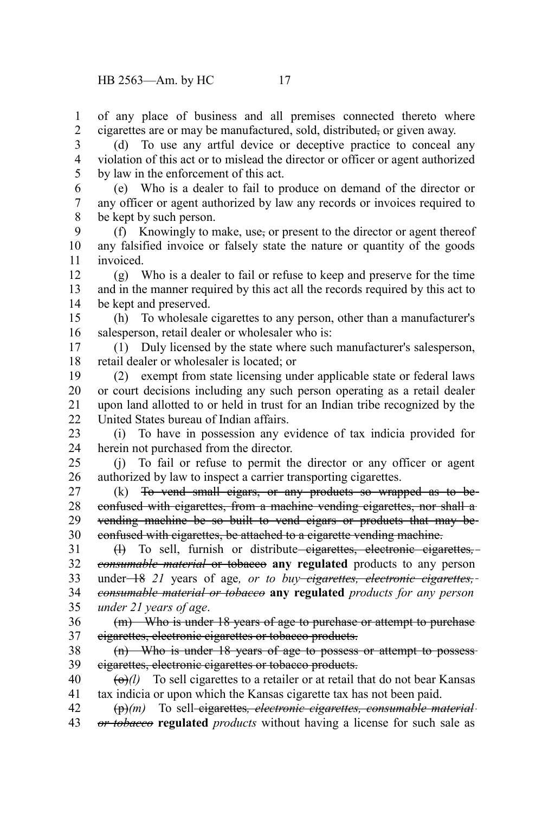of any place of business and all premises connected thereto where cigarettes are or may be manufactured, sold, distributed, or given away. 1 2

(d) To use any artful device or deceptive practice to conceal any violation of this act or to mislead the director or officer or agent authorized by law in the enforcement of this act. 3 4 5

(e) Who is a dealer to fail to produce on demand of the director or any officer or agent authorized by law any records or invoices required to be kept by such person. 6 7 8

(f) Knowingly to make, use, or present to the director or agent thereof any falsified invoice or falsely state the nature or quantity of the goods invoiced. 9 10 11

(g) Who is a dealer to fail or refuse to keep and preserve for the time and in the manner required by this act all the records required by this act to be kept and preserved. 12 13 14

(h) To wholesale cigarettes to any person, other than a manufacturer's salesperson, retail dealer or wholesaler who is: 15 16

(1) Duly licensed by the state where such manufacturer's salesperson, retail dealer or wholesaler is located; or 17 18

(2) exempt from state licensing under applicable state or federal laws or court decisions including any such person operating as a retail dealer upon land allotted to or held in trust for an Indian tribe recognized by the United States bureau of Indian affairs. 19 20 21  $22$ 

(i) To have in possession any evidence of tax indicia provided for herein not purchased from the director. 23 24

(j) To fail or refuse to permit the director or any officer or agent authorized by law to inspect a carrier transporting cigarettes. 25 26

(k) To vend small cigars, or any products so wrapped as to be confused with cigarettes, from a machine vending cigarettes, nor shall a vending machine be so built to vend cigars or products that may be confused with cigarettes, be attached to a cigarette vending machine. 27 28 29 30

(l) To sell, furnish or distribute cigarettes, electronic cigarettes*, consumable material* or tobacco **any regulated** products to any person under 18 *21* years of age*, or to buy cigarettes, electronic cigarettes, consumable material or tobacco* **any regulated** *products for any person under 21 years of age*. 31 32 33 34 35

(m) Who is under 18 years of age to purchase or attempt to purchase cigarettes, electronic cigarettes or tobacco products. 36 37

(n) Who is under 18 years of age to possess or attempt to possess cigarettes, electronic cigarettes or tobacco products. 38 39

 $\left(\frac{\Theta}{l}\right)$  To sell cigarettes to a retailer or at retail that do not bear Kansas tax indicia or upon which the Kansas cigarette tax has not been paid. 40 41

(p)*(m)* To sell cigarettes*, electronic cigarettes, consumable material or tobacco* **regulated** *products* without having a license for such sale as 42 43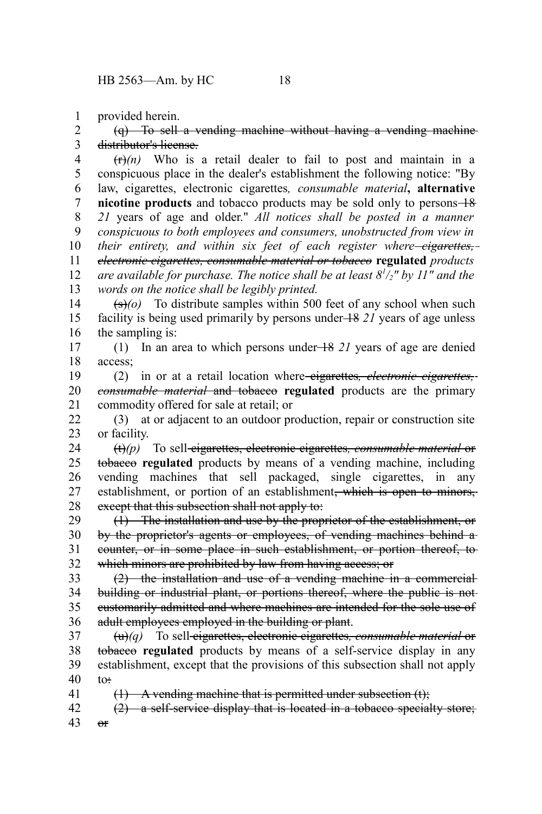provided herein. 1

41

(q) To sell a vending machine without having a vending machine distributor's license. 2 3

 $(r)$  Who is a retail dealer to fail to post and maintain in a conspicuous place in the dealer's establishment the following notice: "By law, cigarettes, electronic cigarettes*, consumable material***, alternative nicotine products** and tobacco products may be sold only to persons  $+8$ *21* years of age and older." *All notices shall be posted in a manner conspicuous to both employees and consumers, unobstructed from view in their entirety, and within six feet of each register where cigarettes, electronic cigarettes, consumable material or tobacco* **regulated** *products are available for purchase. The notice shall be at least 8<sup>1</sup> /2" by 11" and the words on the notice shall be legibly printed.* 4 5 6 7 8 9 10 11 12 13

 $(\frac{\epsilon}{\epsilon})$  (o) To distribute samples within 500 feet of any school when such facility is being used primarily by persons under 18 *21* years of age unless the sampling is: 14 15 16

(1) In an area to which persons under 18 *21* years of age are denied access; 17 18

(2) in or at a retail location where cigarettes*, electronic cigarettes, consumable material* and tobacco **regulated** products are the primary commodity offered for sale at retail; or 19 20 21

(3) at or adjacent to an outdoor production, repair or construction site or facility. 22 23

(t)*(p)* To sell cigarettes, electronic cigarettes*, consumable material* or tobacco **regulated** products by means of a vending machine, including vending machines that sell packaged, single cigarettes, in any establishment, or portion of an establishment<del>, which is open to minors,</del> except that this subsection shall not apply to: 24 25 26 27 28

(1) The installation and use by the proprietor of the establishment, or by the proprietor's agents or employees, of vending machines behind a counter, or in some place in such establishment, or portion thereof, to which minors are prohibited by law from having access; or 29 30 31 32

(2) the installation and use of a vending machine in a commercial building or industrial plant, or portions thereof, where the public is notcustomarily admitted and where machines are intended for the sole use of adult employees employed in the building or plant. 33 34 35 36

(u)*(q)* To sell cigarettes, electronic cigarettes*, consumable material* or tobacco **regulated** products by means of a self-service display in any establishment, except that the provisions of this subsection shall not apply to: 37 38 39 40

 $(1)$  A vending machine that is permitted under subsection  $(t)$ ;

(2) a self-service display that is located in a tobacco specialty store;  $\theta$ 42 43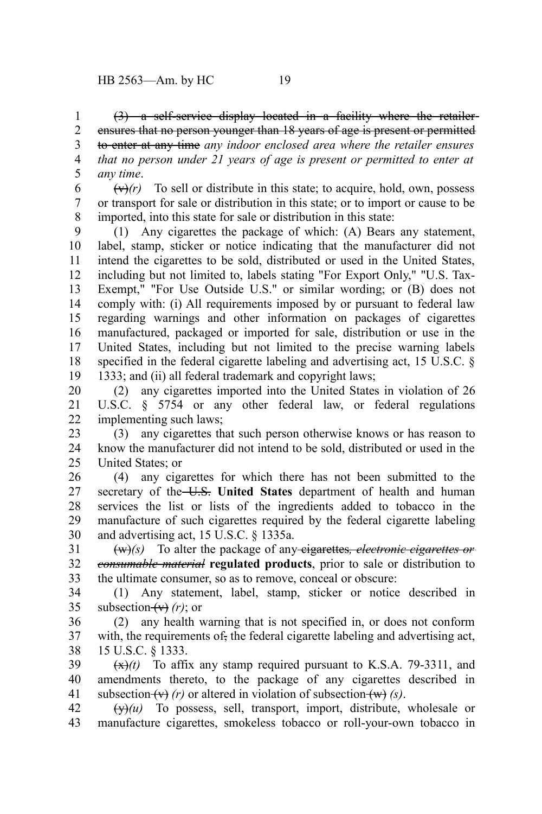(3) a self-service display located in a facility where the retailer ensures that no person younger than 18 years of age is present or permitted to enter at any time *any indoor enclosed area where the retailer ensures that no person under 21 years of age is present or permitted to enter at any time*. 1 2 3 4 5

 $(\forall r)(r)$  To sell or distribute in this state; to acquire, hold, own, possess or transport for sale or distribution in this state; or to import or cause to be imported, into this state for sale or distribution in this state: 6 7 8

(1) Any cigarettes the package of which: (A) Bears any statement, label, stamp, sticker or notice indicating that the manufacturer did not intend the cigarettes to be sold, distributed or used in the United States, including but not limited to, labels stating "For Export Only," "U.S. Tax-Exempt," "For Use Outside U.S." or similar wording; or (B) does not comply with: (i) All requirements imposed by or pursuant to federal law regarding warnings and other information on packages of cigarettes manufactured, packaged or imported for sale, distribution or use in the United States, including but not limited to the precise warning labels specified in the federal cigarette labeling and advertising act, 15 U.S.C. § 1333; and (ii) all federal trademark and copyright laws; 9 10 11 12 13 14 15 16 17 18 19

(2) any cigarettes imported into the United States in violation of 26 U.S.C. § 5754 or any other federal law, or federal regulations implementing such laws; 20 21 22

(3) any cigarettes that such person otherwise knows or has reason to know the manufacturer did not intend to be sold, distributed or used in the United States; or 23 24 25

(4) any cigarettes for which there has not been submitted to the secretary of the U.S. United States department of health and human services the list or lists of the ingredients added to tobacco in the manufacture of such cigarettes required by the federal cigarette labeling and advertising act, 15 U.S.C. § 1335a. 26 27 28 29 30

(w)*(s)* To alter the package of any cigarettes*, electronic cigarettes or consumable material* **regulated products**, prior to sale or distribution to the ultimate consumer, so as to remove, conceal or obscure: 31 32 33

(1) Any statement, label, stamp, sticker or notice described in subsection  $(v)$  (*r*); or 34 35

(2) any health warning that is not specified in, or does not conform with, the requirements of, the federal cigarette labeling and advertising act, 15 U.S.C. § 1333. 36 37 38

 $(\frac{x}{x})(t)$  To affix any stamp required pursuant to K.S.A. 79-3311, and amendments thereto, to the package of any cigarettes described in subsection  $(v)$  *(r)* or altered in violation of subsection  $(w)$  *(s)*. 39 40 41

 $(\forall x)(u)$  To possess, sell, transport, import, distribute, wholesale or manufacture cigarettes, smokeless tobacco or roll-your-own tobacco in 42 43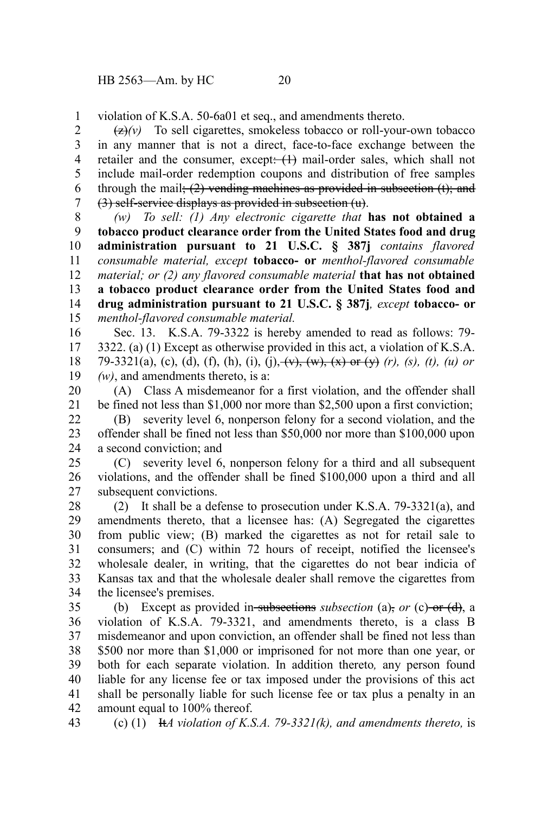violation of K.S.A. 50-6a01 et seq., and amendments thereto. 1

 $\left(\frac{z}{z}\right)$  To sell cigarettes, smokeless tobacco or roll-your-own tobacco in any manner that is not a direct, face-to-face exchange between the retailer and the consumer, except: (1) mail-order sales, which shall not include mail-order redemption coupons and distribution of free samples through the mail;  $(2)$  vending machines as provided in subsection  $(t)$ ; and (3) self-service displays as provided in subsection (u). 2 3 4 5 6 7

*(w) To sell: (1) Any electronic cigarette that* **has not obtained a tobacco product clearance order from the United States food and drug administration pursuant to 21 U.S.C. § 387j** *contains flavored consumable material, except* **tobacco- or** *menthol-flavored consumable material; or (2) any flavored consumable material* **that has not obtained a tobacco product clearance order from the United States food and drug administration pursuant to 21 U.S.C. § 387j***, except* **tobacco- or** *menthol-flavored consumable material.* 8 9 10 11 12 13 14 15

Sec. 13. K.S.A. 79-3322 is hereby amended to read as follows: 79- 3322. (a) (1) Except as otherwise provided in this act, a violation of K.S.A. 79-3321(a), (c), (d), (f), (h), (i), (j),  $\overline{(v)}$ ,  $\overline{(w)}$ ,  $\overline{(x)}$  or  $\overline{(y)}$  (r), (s), (t), (u) or *(w)*, and amendments thereto, is a: 16 17 18 19

(A) Class A misdemeanor for a first violation, and the offender shall be fined not less than \$1,000 nor more than \$2,500 upon a first conviction; 20 21

(B) severity level 6, nonperson felony for a second violation, and the offender shall be fined not less than \$50,000 nor more than \$100,000 upon a second conviction; and 22 23 24

(C) severity level 6, nonperson felony for a third and all subsequent violations, and the offender shall be fined \$100,000 upon a third and all subsequent convictions. 25 26 27

(2) It shall be a defense to prosecution under K.S.A. 79-3321(a), and amendments thereto, that a licensee has: (A) Segregated the cigarettes from public view; (B) marked the cigarettes as not for retail sale to consumers; and (C) within 72 hours of receipt, notified the licensee's wholesale dealer, in writing, that the cigarettes do not bear indicia of Kansas tax and that the wholesale dealer shall remove the cigarettes from the licensee's premises. 28 29 30 31 32 33 34

(b) Except as provided in subsections *subsection* (a), *or* (c) or (d), a violation of K.S.A. 79-3321, and amendments thereto, is a class B misdemeanor and upon conviction, an offender shall be fined not less than \$500 nor more than \$1,000 or imprisoned for not more than one year, or both for each separate violation. In addition thereto*,* any person found liable for any license fee or tax imposed under the provisions of this act shall be personally liable for such license fee or tax plus a penalty in an amount equal to 100% thereof. 35 36 37 38 39 40 41 42

(c) (1) It*A violation of K.S.A. 79-3321(k), and amendments thereto,* is 43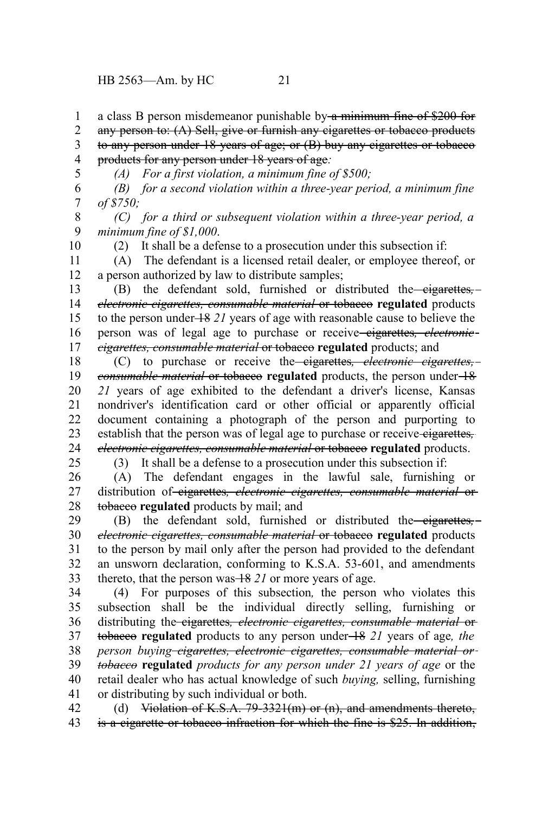a class B person misdemeanor punishable by a minimum fine of \$200 for 1

any person to: (A) Sell, give or furnish any eigarettes or tobacco products 2

to any person under 18 years of age; or (B) buy any cigarettes or tobacco products for any person under 18 years of age*:* 3 4

5

*(A) For a first violation, a minimum fine of \$500;*

*(B) for a second violation within a three-year period, a minimum fine of \$750;* 6 7

*(C) for a third or subsequent violation within a three-year period, a minimum fine of \$1,000*. 9

10

8

(2) It shall be a defense to a prosecution under this subsection if:

(A) The defendant is a licensed retail dealer, or employee thereof, or a person authorized by law to distribute samples; 11 12

(B) the defendant sold, furnished or distributed the *eigarettes*, *electronic cigarettes, consumable material* or tobacco **regulated** products to the person under 18 *21* years of age with reasonable cause to believe the person was of legal age to purchase or receive cigarettes*, electronic cigarettes, consumable material* or tobacco **regulated** products; and 13 14 15 16 17

(C) to purchase or receive the cigarettes*, electronic cigarettes, consumable material* or tobacco regulated products, the person under  $+8$ *21* years of age exhibited to the defendant a driver's license, Kansas nondriver's identification card or other official or apparently official document containing a photograph of the person and purporting to establish that the person was of legal age to purchase or receive eigarettes, *electronic cigarettes, consumable material* or tobacco **regulated** products. 18 19 20 21 22 23 24

25

(3) It shall be a defense to a prosecution under this subsection if:

(A) The defendant engages in the lawful sale, furnishing or distribution of eigarettes, *electronic cigarettes, consumable material* or tobacco **regulated** products by mail; and 26 27 28

(B) the defendant sold, furnished or distributed the cigarettes*, electronic cigarettes, consumable material* or tobacco **regulated** products to the person by mail only after the person had provided to the defendant an unsworn declaration, conforming to K.S.A. 53-601, and amendments thereto, that the person was 18 *21* or more years of age. 29 30 31 32 33

(4) For purposes of this subsection*,* the person who violates this subsection shall be the individual directly selling, furnishing or distributing the cigarettes*, electronic cigarettes, consumable material* or tobacco **regulated** products to any person under 18 *21* years of age*, the person buying cigarettes, electronic cigarettes, consumable material or tobacco* **regulated** *products for any person under 21 years of age* or the retail dealer who has actual knowledge of such *buying,* selling, furnishing or distributing by such individual or both. 34 35 36 37 38 39 40 41

(d) Violation of K.S.A. 79-3321(m) or (n), and amendments thereto, is a cigarette or tobacco infraction for which the fine is \$25. In addition, 42 43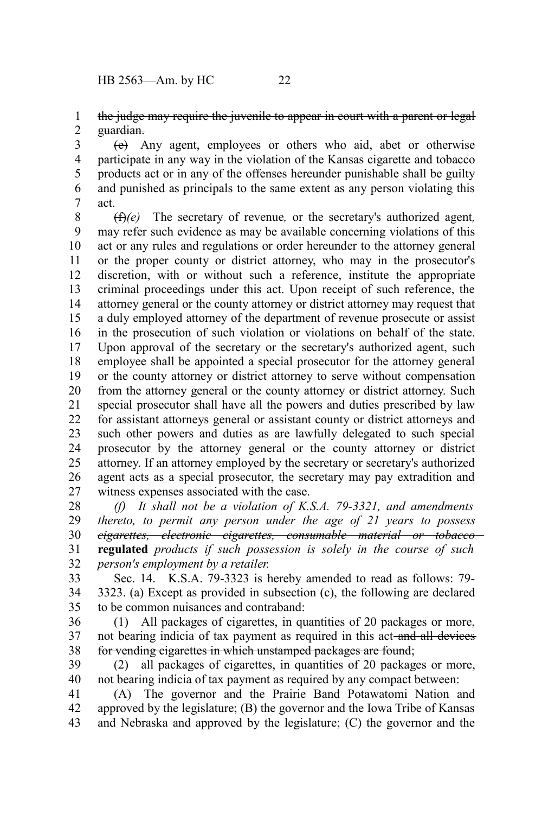## the judge may require the juvenile to appear in court with a parent or legal guardian. 1 2

(e) Any agent, employees or others who aid, abet or otherwise participate in any way in the violation of the Kansas cigarette and tobacco products act or in any of the offenses hereunder punishable shall be guilty and punished as principals to the same extent as any person violating this act. 3 4 5 6 7

(f)*(e)* The secretary of revenue*,* or the secretary's authorized agent*,* may refer such evidence as may be available concerning violations of this act or any rules and regulations or order hereunder to the attorney general or the proper county or district attorney, who may in the prosecutor's discretion, with or without such a reference, institute the appropriate criminal proceedings under this act. Upon receipt of such reference, the attorney general or the county attorney or district attorney may request that a duly employed attorney of the department of revenue prosecute or assist in the prosecution of such violation or violations on behalf of the state. Upon approval of the secretary or the secretary's authorized agent, such employee shall be appointed a special prosecutor for the attorney general or the county attorney or district attorney to serve without compensation from the attorney general or the county attorney or district attorney. Such special prosecutor shall have all the powers and duties prescribed by law for assistant attorneys general or assistant county or district attorneys and such other powers and duties as are lawfully delegated to such special prosecutor by the attorney general or the county attorney or district attorney. If an attorney employed by the secretary or secretary's authorized agent acts as a special prosecutor, the secretary may pay extradition and witness expenses associated with the case. 8 9 10 11 12 13 14 15 16 17 18 19 20 21 22 23 24 25 26 27

*(f) It shall not be a violation of K.S.A. 79-3321, and amendments thereto, to permit any person under the age of 21 years to possess cigarettes, electronic cigarettes, consumable material or tobacco* **regulated** *products if such possession is solely in the course of such person's employment by a retailer.* 28 29 30 31 32

Sec. 14. K.S.A. 79-3323 is hereby amended to read as follows: 79- 3323. (a) Except as provided in subsection (c), the following are declared to be common nuisances and contraband: 33 34 35

(1) All packages of cigarettes, in quantities of 20 packages or more, not bearing indicia of tax payment as required in this act-and all devices for vending cigarettes in which unstamped packages are found; 36 37 38

(2) all packages of cigarettes, in quantities of 20 packages or more, not bearing indicia of tax payment as required by any compact between: 39 40

(A) The governor and the Prairie Band Potawatomi Nation and approved by the legislature; (B) the governor and the Iowa Tribe of Kansas and Nebraska and approved by the legislature; (C) the governor and the 41 42 43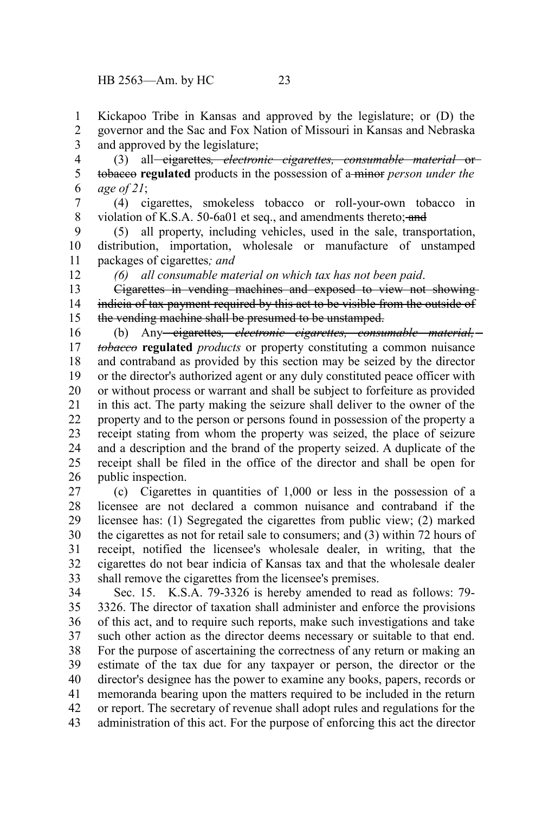12

Kickapoo Tribe in Kansas and approved by the legislature; or (D) the governor and the Sac and Fox Nation of Missouri in Kansas and Nebraska and approved by the legislature; 1 2 3

(3) all cigarettes*, electronic cigarettes, consumable material* or tobacco **regulated** products in the possession of a minor *person under the age of 21*; 4 5 6

(4) cigarettes, smokeless tobacco or roll-your-own tobacco in violation of K.S.A. 50-6a01 et seq., and amendments thereto; and 7 8

(5) all property, including vehicles, used in the sale, transportation, distribution, importation, wholesale or manufacture of unstamped packages of cigarettes*; and* 9 10 11

*(6) all consumable material on which tax has not been paid*.

Cigarettes in vending machines and exposed to view not showing indicia of tax payment required by this act to be visible from the outside of the vending machine shall be presumed to be unstamped. 13 14 15

(b) Any cigarettes*, electronic cigarettes, consumable material, tobacco* **regulated** *products* or property constituting a common nuisance and contraband as provided by this section may be seized by the director or the director's authorized agent or any duly constituted peace officer with or without process or warrant and shall be subject to forfeiture as provided in this act. The party making the seizure shall deliver to the owner of the property and to the person or persons found in possession of the property a receipt stating from whom the property was seized, the place of seizure and a description and the brand of the property seized. A duplicate of the receipt shall be filed in the office of the director and shall be open for public inspection. 16 17 18 19 20 21 22 23 24 25 26

(c) Cigarettes in quantities of 1,000 or less in the possession of a licensee are not declared a common nuisance and contraband if the licensee has: (1) Segregated the cigarettes from public view; (2) marked the cigarettes as not for retail sale to consumers; and (3) within 72 hours of receipt, notified the licensee's wholesale dealer, in writing, that the cigarettes do not bear indicia of Kansas tax and that the wholesale dealer shall remove the cigarettes from the licensee's premises. 27 28 29 30 31 32 33

Sec. 15. K.S.A. 79-3326 is hereby amended to read as follows: 79- 3326. The director of taxation shall administer and enforce the provisions of this act, and to require such reports, make such investigations and take such other action as the director deems necessary or suitable to that end. For the purpose of ascertaining the correctness of any return or making an estimate of the tax due for any taxpayer or person, the director or the director's designee has the power to examine any books, papers, records or memoranda bearing upon the matters required to be included in the return or report. The secretary of revenue shall adopt rules and regulations for the administration of this act. For the purpose of enforcing this act the director 34 35 36 37 38 39 40 41 42 43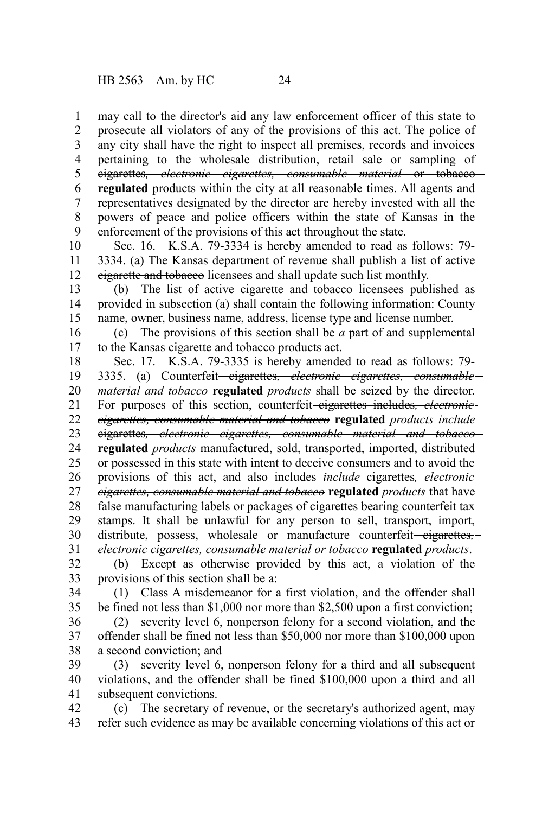may call to the director's aid any law enforcement officer of this state to prosecute all violators of any of the provisions of this act. The police of any city shall have the right to inspect all premises, records and invoices pertaining to the wholesale distribution, retail sale or sampling of cigarettes*, electronic cigarettes, consumable material* or tobacco **regulated** products within the city at all reasonable times. All agents and representatives designated by the director are hereby invested with all the powers of peace and police officers within the state of Kansas in the enforcement of the provisions of this act throughout the state. 1 2 3 4 5 6 7 8 9

Sec. 16. K.S.A. 79-3334 is hereby amended to read as follows: 79- 3334. (a) The Kansas department of revenue shall publish a list of active cigarette and tobacco licensees and shall update such list monthly. 10 11 12

(b) The list of active-eigarette and tobaceo licensees published as provided in subsection (a) shall contain the following information: County name, owner, business name, address, license type and license number. 13 14 15

(c) The provisions of this section shall be *a* part of and supplemental to the Kansas cigarette and tobacco products act. 16 17

Sec. 17. K.S.A. 79-3335 is hereby amended to read as follows: 79- 3335. (a) Counterfeit<del> cigarettes, *electronic* cigarettes, consumable</del> *material and tobacco* **regulated** *products* shall be seized by the director. For purposes of this section, counterfeit<del>-eigarettes includes, *electronic*</del> *cigarettes, consumable material and tobacco* **regulated** *products include* cigarettes*, electronic cigarettes, consumable material and tobacco* **regulated** *products* manufactured, sold, transported, imported, distributed or possessed in this state with intent to deceive consumers and to avoid the provisions of this act, and also<del>-includes</del> include-eigarettes, electronic*cigarettes, consumable material and tobacco* **regulated** *products* that have false manufacturing labels or packages of cigarettes bearing counterfeit tax stamps. It shall be unlawful for any person to sell, transport, import, distribute, possess, wholesale or manufacture counterfeit—eigarettes,*electronic cigarettes, consumable material or tobacco* **regulated** *products*. 18 19 20 21 22 23 24 25 26 27 28 29 30 31

(b) Except as otherwise provided by this act, a violation of the provisions of this section shall be a: 32 33

(1) Class A misdemeanor for a first violation, and the offender shall be fined not less than \$1,000 nor more than \$2,500 upon a first conviction; 34 35

(2) severity level 6, nonperson felony for a second violation, and the offender shall be fined not less than \$50,000 nor more than \$100,000 upon a second conviction; and 36 37 38

(3) severity level 6, nonperson felony for a third and all subsequent violations, and the offender shall be fined \$100,000 upon a third and all subsequent convictions. 39 40 41

(c) The secretary of revenue, or the secretary's authorized agent, may refer such evidence as may be available concerning violations of this act or 42 43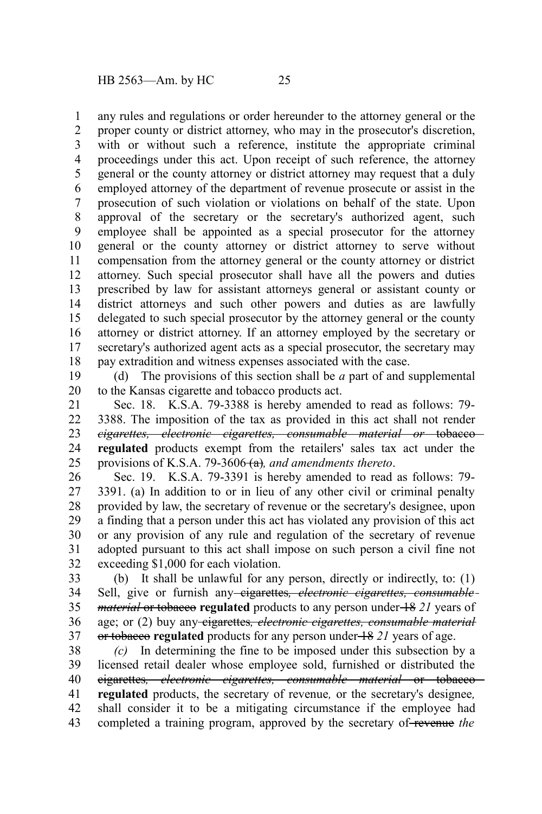any rules and regulations or order hereunder to the attorney general or the proper county or district attorney, who may in the prosecutor's discretion, with or without such a reference, institute the appropriate criminal proceedings under this act. Upon receipt of such reference, the attorney general or the county attorney or district attorney may request that a duly employed attorney of the department of revenue prosecute or assist in the prosecution of such violation or violations on behalf of the state. Upon approval of the secretary or the secretary's authorized agent, such employee shall be appointed as a special prosecutor for the attorney general or the county attorney or district attorney to serve without compensation from the attorney general or the county attorney or district attorney. Such special prosecutor shall have all the powers and duties prescribed by law for assistant attorneys general or assistant county or district attorneys and such other powers and duties as are lawfully delegated to such special prosecutor by the attorney general or the county attorney or district attorney. If an attorney employed by the secretary or secretary's authorized agent acts as a special prosecutor, the secretary may pay extradition and witness expenses associated with the case. 1 2 3 4 5 6 7 8 9 10 11 12 13 14 15 16 17 18

(d) The provisions of this section shall be *a* part of and supplemental to the Kansas cigarette and tobacco products act. 19 20

Sec. 18. K.S.A. 79-3388 is hereby amended to read as follows: 79- 3388. The imposition of the tax as provided in this act shall not render *cigarettes, electronic cigarettes, consumable material or* tobacco **regulated** products exempt from the retailers' sales tax act under the provisions of K.S.A. 79-3606<del>(a)</del>, and amendments thereto. 21 22 23 24 25

Sec. 19. K.S.A. 79-3391 is hereby amended to read as follows: 79- 3391. (a) In addition to or in lieu of any other civil or criminal penalty provided by law, the secretary of revenue or the secretary's designee, upon a finding that a person under this act has violated any provision of this act or any provision of any rule and regulation of the secretary of revenue adopted pursuant to this act shall impose on such person a civil fine not exceeding \$1,000 for each violation. 26 27 28 29 30 31 32

(b) It shall be unlawful for any person, directly or indirectly, to: (1) Sell, give or furnish any cigarettes*, electronic cigarettes, consumable material* or tobacco **regulated** products to any person under  $\frac{18}{21}$  years of age; or (2) buy any cigarettes*, electronic cigarettes, consumable material* or tobacco **regulated** products for any person under 18 *21* years of age. 33 34 35 36 37

*(c)* In determining the fine to be imposed under this subsection by a licensed retail dealer whose employee sold, furnished or distributed the cigarettes*, electronic cigarettes, consumable material* or tobacco **regulated** products, the secretary of revenue*,* or the secretary's designee*,* shall consider it to be a mitigating circumstance if the employee had completed a training program, approved by the secretary of revenue *the* 38 39 40 41 42 43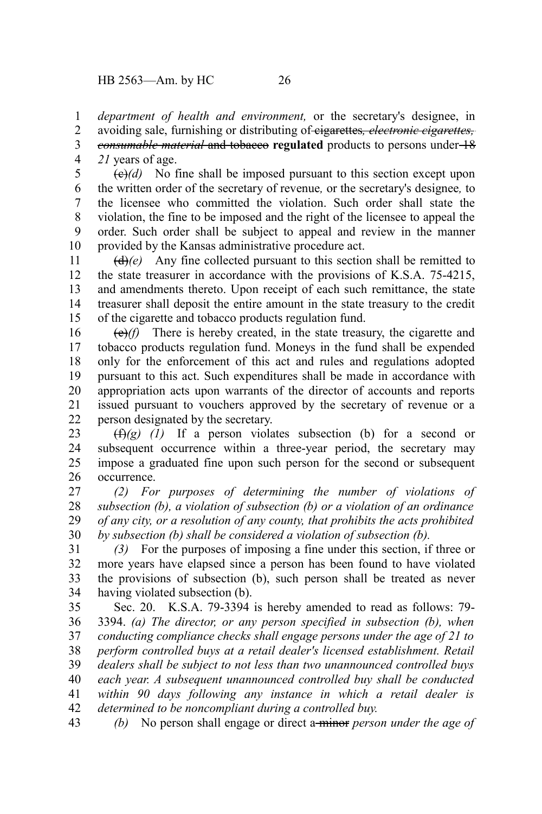*department of health and environment,* or the secretary's designee, in avoiding sale, furnishing or distributing of cigarettes*, electronic cigarettes,* 1 2

*consumable material* and tobacco **regulated** products to persons under 18 *21* years of age. 3 4

 $\left(\frac{e}{e}\right)$  No fine shall be imposed pursuant to this section except upon the written order of the secretary of revenue*,* or the secretary's designee*,* to the licensee who committed the violation. Such order shall state the violation, the fine to be imposed and the right of the licensee to appeal the order. Such order shall be subject to appeal and review in the manner provided by the Kansas administrative procedure act. 5 6 7 8 9 10

 $(d)$ (*e*) Any fine collected pursuant to this section shall be remitted to the state treasurer in accordance with the provisions of K.S.A. 75-4215, and amendments thereto. Upon receipt of each such remittance, the state treasurer shall deposit the entire amount in the state treasury to the credit of the cigarette and tobacco products regulation fund. 11 12 13 14 15

(e)*(f)* There is hereby created, in the state treasury, the cigarette and tobacco products regulation fund. Moneys in the fund shall be expended only for the enforcement of this act and rules and regulations adopted pursuant to this act. Such expenditures shall be made in accordance with appropriation acts upon warrants of the director of accounts and reports issued pursuant to vouchers approved by the secretary of revenue or a person designated by the secretary. 16 17 18 19 20 21 22

(f)*(g) (1)* If a person violates subsection (b) for a second or subsequent occurrence within a three-year period, the secretary may impose a graduated fine upon such person for the second or subsequent occurrence. 23 24 25 26

*(2) For purposes of determining the number of violations of subsection (b), a violation of subsection (b) or a violation of an ordinance of any city, or a resolution of any county, that prohibits the acts prohibited by subsection (b) shall be considered a violation of subsection (b).* 27 28 29 30

*(3)* For the purposes of imposing a fine under this section, if three or more years have elapsed since a person has been found to have violated the provisions of subsection (b), such person shall be treated as never having violated subsection (b). 31 32 33 34

Sec. 20. K.S.A. 79-3394 is hereby amended to read as follows: 79- 3394. *(a) The director, or any person specified in subsection (b), when conducting compliance checks shall engage persons under the age of 21 to perform controlled buys at a retail dealer's licensed establishment. Retail dealers shall be subject to not less than two unannounced controlled buys each year. A subsequent unannounced controlled buy shall be conducted within 90 days following any instance in which a retail dealer is determined to be noncompliant during a controlled buy. (b)* No person shall engage or direct a minor *person under the age of* 35 36 37 38 39 40 41 42 43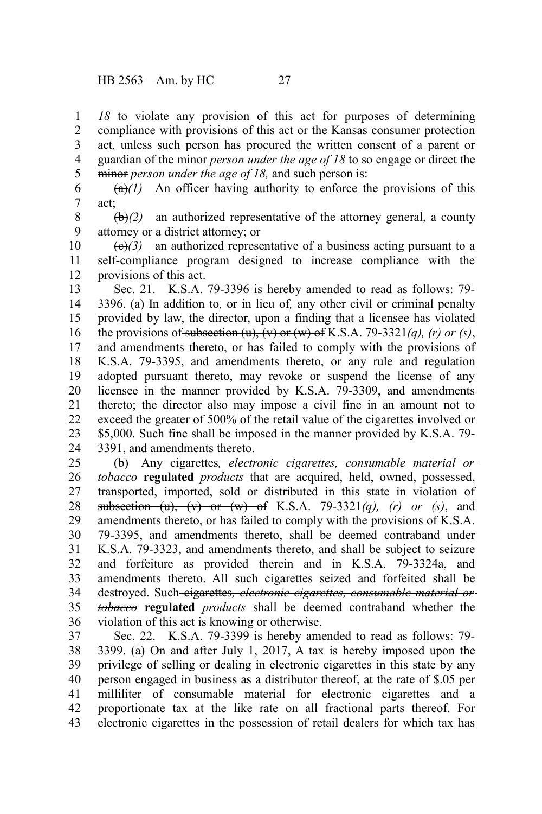*18* to violate any provision of this act for purposes of determining compliance with provisions of this act or the Kansas consumer protection act*,* unless such person has procured the written consent of a parent or guardian of the minor *person under the age of 18* to so engage or direct the minor *person under the age of 18,* and such person is: 1 2 3 4 5

 $(a)(1)$  An officer having authority to enforce the provisions of this act; 6 7

 $\left(\frac{b}{c}\right)$  an authorized representative of the attorney general, a county attorney or a district attorney; or 8 9

 $\left(\frac{e}{f}\right)$  an authorized representative of a business acting pursuant to a self-compliance program designed to increase compliance with the provisions of this act. 10 11 12

Sec. 21. K.S.A. 79-3396 is hereby amended to read as follows: 79- 3396. (a) In addition to*,* or in lieu of*,* any other civil or criminal penalty provided by law, the director, upon a finding that a licensee has violated the provisions of subsection  $(u)$ ,  $(v)$  or  $(w)$  of K.S.A. 79-3321 $(a)$ ,  $(r)$  or  $(s)$ , and amendments thereto, or has failed to comply with the provisions of K.S.A. 79-3395, and amendments thereto, or any rule and regulation adopted pursuant thereto, may revoke or suspend the license of any licensee in the manner provided by K.S.A. 79-3309, and amendments thereto; the director also may impose a civil fine in an amount not to exceed the greater of 500% of the retail value of the cigarettes involved or \$5,000. Such fine shall be imposed in the manner provided by K.S.A. 79- 3391, and amendments thereto. 13 14 15 16 17 18 19 20 21 22 23 24

(b) Any cigarettes*, electronic cigarettes, consumable material or tobacco* **regulated** *products* that are acquired, held, owned, possessed, transported, imported, sold or distributed in this state in violation of subsection (u), (v) or (w) of K.S.A. 79-3321*(q), (r) or (s)*, and amendments thereto, or has failed to comply with the provisions of K.S.A. 79-3395, and amendments thereto, shall be deemed contraband under K.S.A. 79-3323, and amendments thereto, and shall be subject to seizure and forfeiture as provided therein and in K.S.A. 79-3324a, and amendments thereto. All such cigarettes seized and forfeited shall be destroyed. Such-eigarettes, electronic cigarettes, consumable material or*tobacco* **regulated** *products* shall be deemed contraband whether the violation of this act is knowing or otherwise. 25 26 27 28 29 30 31 32 33 34 35 36

Sec. 22. K.S.A. 79-3399 is hereby amended to read as follows: 79- 3399. (a)  $\Theta$ n and after July 1, 2017, A tax is hereby imposed upon the privilege of selling or dealing in electronic cigarettes in this state by any person engaged in business as a distributor thereof, at the rate of \$.05 per milliliter of consumable material for electronic cigarettes and a proportionate tax at the like rate on all fractional parts thereof. For electronic cigarettes in the possession of retail dealers for which tax has 37 38 39 40 41 42 43